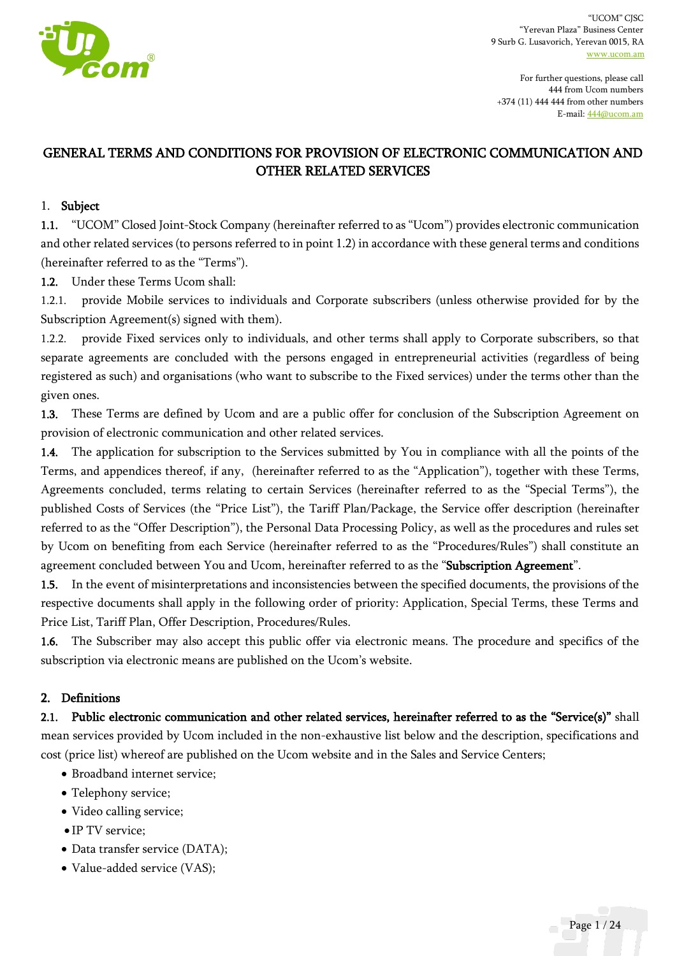

For further questions, please call 444 from Ucom numbers +374 (11) 444 444 from other numbers E-mail[: 444@ucom.am](mailto:444@ucom.am)

# GENERAL TERMS AND CONDITIONS FOR PROVISION OF ELECTRONIC COMMUNICATION AND OTHER RELATED SERVICES

#### 1. Subject

1.1. "UCOM" Closed Joint-Stock Company (hereinafter referred to as "Ucom") provides electronic communication and other related services (to persons referred to in point 1.2) in accordance with these general terms and conditions (hereinafter referred to as the "Terms").

1.2. Under these Terms Ucom shall:

1.2.1. provide Mobile services to individuals and Corporate subscribers (unless otherwise provided for by the Subscription Agreement(s) signed with them).

1.2.2. provide Fixed services only to individuals, and other terms shall apply to Corporate subscribers, so that separate agreements are concluded with the persons engaged in entrepreneurial activities (regardless of being registered as such) and organisations (who want to subscribe to the Fixed services) under the terms other than the given ones.

1.3. These Terms are defined by Ucom and are a public offer for conclusion of the Subscription Agreement on provision of electronic communication and other related services.

1.4. The application for subscription to the Services submitted by You in compliance with all the points of the Terms, and appendices thereof, if any, (hereinafter referred to as the "Application"), together with these Terms, Agreements concluded, terms relating to certain Services (hereinafter referred to as the "Special Terms"), the published Costs of Services (the "Price List"), the Tariff Plan/Package, the Service offer description (hereinafter referred to as the "Offer Description"), the Personal Data Processing Policy, as well as the procedures and rules set by Ucom on benefiting from each Service (hereinafter referred to as the "Procedures/Rules") shall constitute an agreement concluded between You and Ucom, hereinafter referred to as the "Subscription Agreement".

1.5. In the event of misinterpretations and inconsistencies between the specified documents, the provisions of the respective documents shall apply in the following order of priority: Application, Special Terms, these Terms and Price List, Tariff Plan, Offer Description, Procedures/Rules.

1.6. The Subscriber may also accept this public offer via electronic means. The procedure and specifics of the subscription via electronic means are published on the Ucom's website.

#### 2. Definitions

2.1. Public electronic communication and other related services, hereinafter referred to as the "Service(s)" shall mean services provided by Ucom included in the non-exhaustive list below and the description, specifications and cost (price list) whereof are published on the Ucom website and in the Sales and Service Centers;

- Broadband internet service;
- Telephony service;
- Video calling service;
- IP TV service;
- Data transfer service (DATA);
- Value-added service (VAS);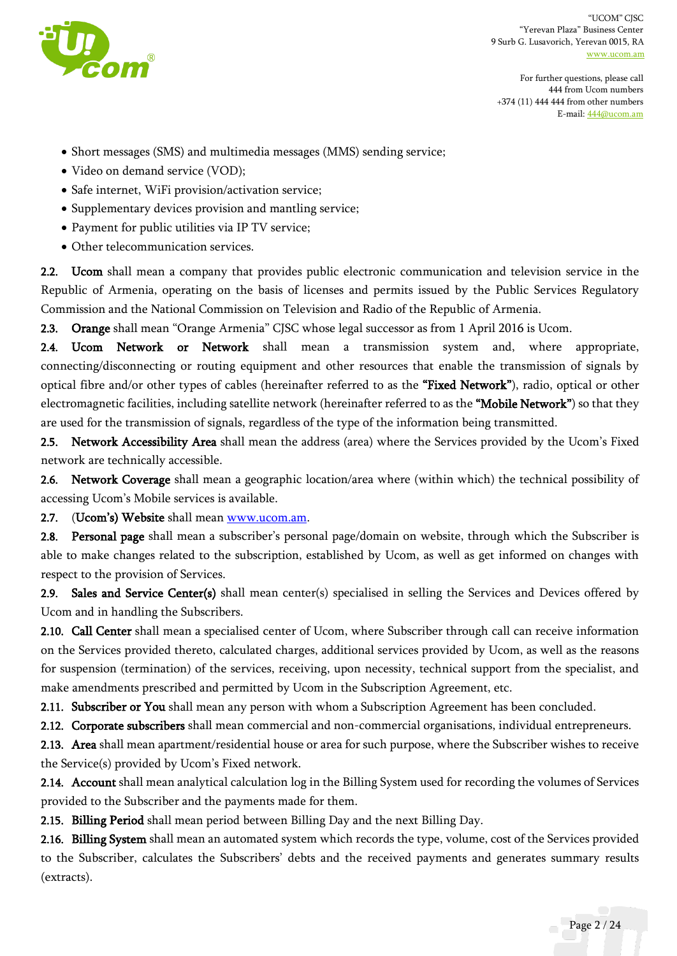

For further questions, please call 444 from Ucom numbers +374 (11) 444 444 from other numbers E-mail[: 444@ucom.am](mailto:444@ucom.am)

- Short messages (SMS) and multimedia messages (MMS) sending service;
- Video on demand service (VOD);
- Safe internet, WiFi provision/activation service;
- Supplementary devices provision and mantling service;
- Payment for public utilities via IP TV service;
- Other telecommunication services.

2.2. Ucom shall mean a company that provides public electronic communication and television service in the Republic of Armenia, operating on the basis of licenses and permits issued by the Public Services Regulatory Commission and the National Commission on Television and Radio of the Republic of Armenia.

2.3. Orange shall mean "Orange Armenia" CJSC whose legal successor as from 1 April 2016 is Ucom.

2.4. Ucom Network or Network shall mean a transmission system and, where appropriate, connecting/disconnecting or routing equipment and other resources that enable the transmission of signals by optical fibre and/or other types of cables (hereinafter referred to as the "Fixed Network"), radio, optical or other electromagnetic facilities, including satellite network (hereinafter referred to as the "Mobile Network") so that they are used for the transmission of signals, regardless of the type of the information being transmitted.

2.5. Network Accessibility Area shall mean the address (area) where the Services provided by the Ucom's Fixed network are technically accessible.

2.6. Network Coverage shall mean a geographic location/area where (within which) the technical possibility of accessing Ucom's Mobile services is available.

2.7. (Ucom's) Website shall mea[n www.ucom.am.](http://www.ucom.am/)

2.8. Personal page shall mean a subscriber's personal page/domain on website, through which the Subscriber is able to make changes related to the subscription, established by Ucom, as well as get informed on changes with respect to the provision of Services.

2.9. Sales and Service Center(s) shall mean center(s) specialised in selling the Services and Devices offered by Ucom and in handling the Subscribers.

2.10. Call Center shall mean a specialised center of Ucom, where Subscriber through call can receive information on the Services provided thereto, calculated charges, additional services provided by Ucom, as well as the reasons for suspension (termination) of the services, receiving, upon necessity, technical support from the specialist, and make amendments prescribed and permitted by Ucom in the Subscription Agreement, etc.

2.11. Subscriber or You shall mean any person with whom a Subscription Agreement has been concluded.

2.12. Corporate subscribers shall mean commercial and non-commercial organisations, individual entrepreneurs.

2.13. Area shall mean apartment/residential house or area for such purpose, where the Subscriber wishes to receive the Service(s) provided by Ucom's Fixed network.

2.14. Account shall mean analytical calculation log in the Billing System used for recording the volumes of Services provided to the Subscriber and the payments made for them.

2.15. Billing Period shall mean period between Billing Day and the next Billing Day.

2.16. Billing System shall mean an automated system which records the type, volume, cost of the Services provided to the Subscriber, calculates the Subscribers' debts and the received payments and generates summary results (extracts).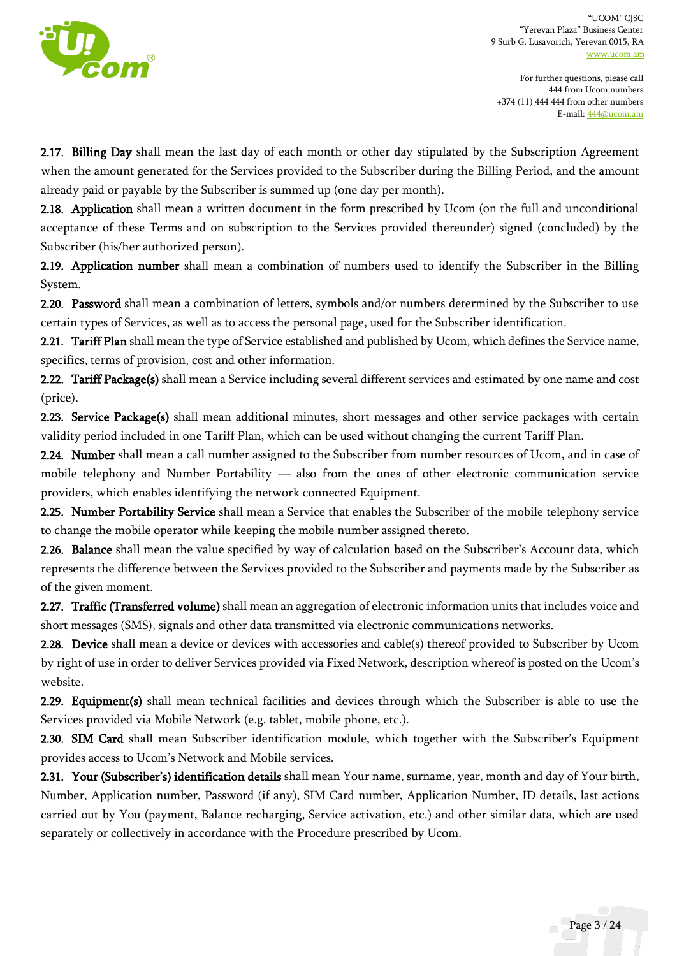

For further questions, please call 444 from Ucom numbers +374 (11) 444 444 from other numbers E-mail[: 444@ucom.am](mailto:444@ucom.am)

2.17. Billing Day shall mean the last day of each month or other day stipulated by the Subscription Agreement when the amount generated for the Services provided to the Subscriber during the Billing Period, and the amount already paid or payable by the Subscriber is summed up (one day per month).

2.18. Application shall mean a written document in the form prescribed by Ucom (on the full and unconditional acceptance of these Terms and on subscription to the Services provided thereunder) signed (concluded) by the Subscriber (his/her authorized person).

2.19. Application number shall mean a combination of numbers used to identify the Subscriber in the Billing System.

2.20. Password shall mean a combination of letters, symbols and/or numbers determined by the Subscriber to use certain types of Services, as well as to access the personal page, used for the Subscriber identification.

2.21. Tariff Plan shall mean the type of Service established and published by Ucom, which defines the Service name, specifics, terms of provision, cost and other information.

2.22. Tariff Package(s) shall mean a Service including several different services and estimated by one name and cost (price).

2.23. Service Package(s) shall mean additional minutes, short messages and other service packages with certain validity period included in one Tariff Plan, which can be used without changing the current Tariff Plan.

2.24. Number shall mean a call number assigned to the Subscriber from number resources of Ucom, and in case of mobile telephony and Number Portability — also from the ones of other electronic communication service providers, which enables identifying the network connected Equipment.

2.25. Number Portability Service shall mean a Service that enables the Subscriber of the mobile telephony service to change the mobile operator while keeping the mobile number assigned thereto.

2.26. Balance shall mean the value specified by way of calculation based on the Subscriber's Account data, which represents the difference between the Services provided to the Subscriber and payments made by the Subscriber as of the given moment.

2.27. Traffic (Transferred volume) shall mean an aggregation of electronic information units that includes voice and short messages (SMS), signals and other data transmitted via electronic communications networks.

2.28. Device shall mean a device or devices with accessories and cable(s) thereof provided to Subscriber by Ucom by right of use in order to deliver Services provided via Fixed Network, description whereof is posted on the Ucom's website.

2.29. Equipment(s) shall mean technical facilities and devices through which the Subscriber is able to use the Services provided via Mobile Network (e.g. tablet, mobile phone, etc.).

2.30. SIM Card shall mean Subscriber identification module, which together with the Subscriber's Equipment provides access to Ucom's Network and Mobile services.

2.31. Your (Subscriber's) identification details shall mean Your name, surname, year, month and day of Your birth, Number, Application number, Password (if any), SIM Card number, Application Number, ID details, last actions carried out by You (payment, Balance recharging, Service activation, etc.) and other similar data, which are used separately or collectively in accordance with the Procedure prescribed by Ucom.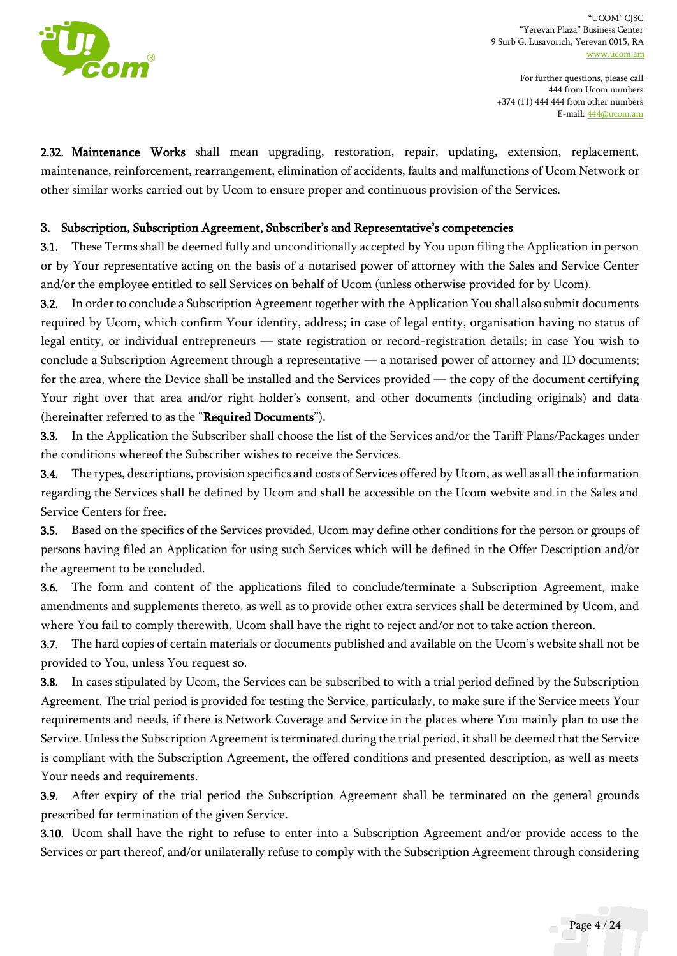

For further questions, please call 444 from Ucom numbers +374 (11) 444 444 from other numbers E-mail[: 444@ucom.am](mailto:444@ucom.am)

2.32. Maintenance Works shall mean upgrading, restoration, repair, updating, extension, replacement, maintenance, reinforcement, rearrangement, elimination of accidents, faults and malfunctions of Ucom Network or other similar works carried out by Ucom to ensure proper and continuous provision of the Services.

### 3. Subscription, Subscription Agreement, Subscriber's and Representative's competencies

3.1. These Terms shall be deemed fully and unconditionally accepted by You upon filing the Application in person or by Your representative acting on the basis of a notarised power of attorney with the Sales and Service Center and/or the employee entitled to sell Services on behalf of Ucom (unless otherwise provided for by Ucom).

3.2. In order to conclude a Subscription Agreement together with the Application You shall also submit documents required by Ucom, which confirm Your identity, address; in case of legal entity, organisation having no status of legal entity, or individual entrepreneurs — state registration or record-registration details; in case You wish to conclude a Subscription Agreement through a representative — a notarised power of attorney and ID documents; for the area, where the Device shall be installed and the Services provided — the copy of the document certifying Your right over that area and/or right holder's consent, and other documents (including originals) and data (hereinafter referred to as the "Required Documents").

3.3. In the Application the Subscriber shall choose the list of the Services and/or the Tariff Plans/Packages under the conditions whereof the Subscriber wishes to receive the Services.

3.4. The types, descriptions, provision specifics and costs of Services offered by Ucom, as well as all the information regarding the Services shall be defined by Ucom and shall be accessible on the Ucom website and in the Sales and Service Centers for free.

3.5. Based on the specifics of the Services provided, Ucom may define other conditions for the person or groups of persons having filed an Application for using such Services which will be defined in the Offer Description and/or the agreement to be concluded.

3.6. The form and content of the applications filed to conclude/terminate a Subscription Agreement, make amendments and supplements thereto, as well as to provide other extra services shall be determined by Ucom, and where You fail to comply therewith, Ucom shall have the right to reject and/or not to take action thereon.

3.7. The hard copies of certain materials or documents published and available on the Ucom's website shall not be provided to You, unless You request so.

3.8. In cases stipulated by Ucom, the Services can be subscribed to with a trial period defined by the Subscription Agreement. The trial period is provided for testing the Service, particularly, to make sure if the Service meets Your requirements and needs, if there is Network Coverage and Service in the places where You mainly plan to use the Service. Unless the Subscription Agreement is terminated during the trial period, it shall be deemed that the Service is compliant with the Subscription Agreement, the offered conditions and presented description, as well as meets Your needs and requirements.

3.9. After expiry of the trial period the Subscription Agreement shall be terminated on the general grounds prescribed for termination of the given Service.

3.10. Ucom shall have the right to refuse to enter into a Subscription Agreement and/or provide access to the Services or part thereof, and/or unilaterally refuse to comply with the Subscription Agreement through considering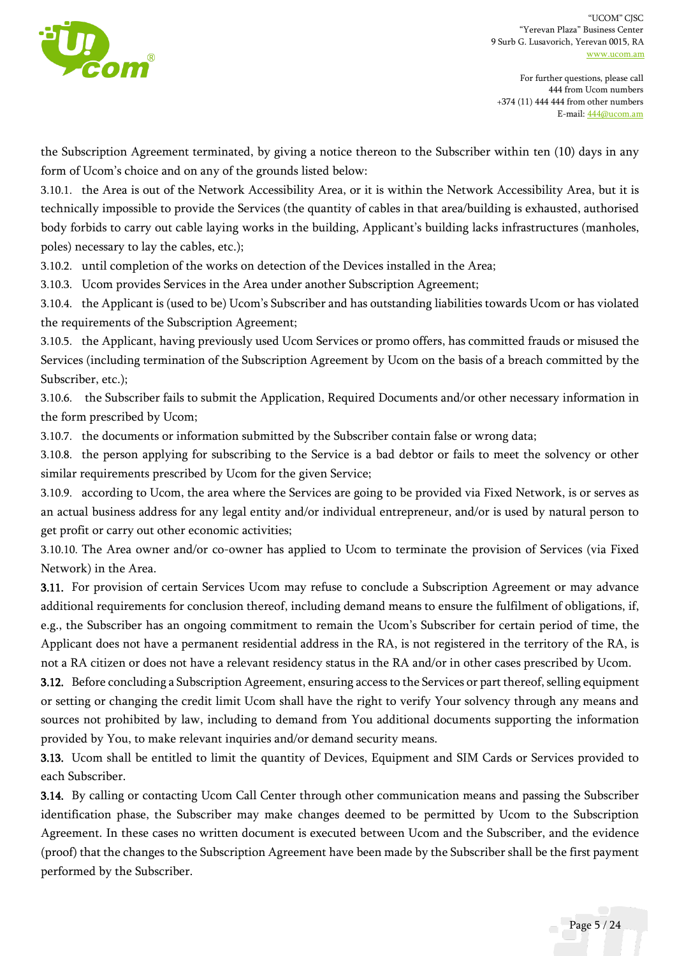

the Subscription Agreement terminated, by giving a notice thereon to the Subscriber within ten (10) days in any form of Ucom's choice and on any of the grounds listed below:

3.10.1. the Area is out of the Network Accessibility Area, or it is within the Network Accessibility Area, but it is technically impossible to provide the Services (the quantity of cables in that area/building is exhausted, authorised body forbids to carry out cable laying works in the building, Applicant's building lacks infrastructures (manholes, poles) necessary to lay the cables, etc.);

3.10.2. until completion of the works on detection of the Devices installed in the Area;

3.10.3. Ucom provides Services in the Area under another Subscription Agreement;

3.10.4. the Applicant is (used to be) Ucom's Subscriber and has outstanding liabilities towards Ucom or has violated the requirements of the Subscription Agreement;

3.10.5. the Applicant, having previously used Ucom Services or promo offers, has committed frauds or misused the Services (including termination of the Subscription Agreement by Ucom on the basis of a breach committed by the Subscriber, etc.);

3.10.6. the Subscriber fails to submit the Application, Required Documents and/or other necessary information in the form prescribed by Ucom;

3.10.7. the documents or information submitted by the Subscriber contain false or wrong data;

3.10.8. the person applying for subscribing to the Service is a bad debtor or fails to meet the solvency or other similar requirements prescribed by Ucom for the given Service;

3.10.9. according to Ucom, the area where the Services are going to be provided via Fixed Network, is or serves as an actual business address for any legal entity and/or individual entrepreneur, and/or is used by natural person to get profit or carry out other economic activities;

3.10.10. The Area owner and/or co-owner has applied to Ucom to terminate the provision of Services (via Fixed Network) in the Area.

3.11. For provision of certain Services Ucom may refuse to conclude a Subscription Agreement or may advance additional requirements for conclusion thereof, including demand means to ensure the fulfilment of obligations, if, e.g., the Subscriber has an ongoing commitment to remain the Ucom's Subscriber for certain period of time, the Applicant does not have a permanent residential address in the RA, is not registered in the territory of the RA, is not a RA citizen or does not have a relevant residency status in the RA and/or in other cases prescribed by Ucom.

3.12. Before concluding a Subscription Agreement, ensuring access to the Services or part thereof, selling equipment or setting or changing the credit limit Ucom shall have the right to verify Your solvency through any means and sources not prohibited by law, including to demand from You additional documents supporting the information provided by You, to make relevant inquiries and/or demand security means.

3.13. Ucom shall be entitled to limit the quantity of Devices, Equipment and SIM Cards or Services provided to each Subscriber.

3.14. By calling or contacting Ucom Call Center through other communication means and passing the Subscriber identification phase, the Subscriber may make changes deemed to be permitted by Ucom to the Subscription Agreement. In these cases no written document is executed between Ucom and the Subscriber, and the evidence (proof) that the changes to the Subscription Agreement have been made by the Subscriber shall be the first payment performed by the Subscriber.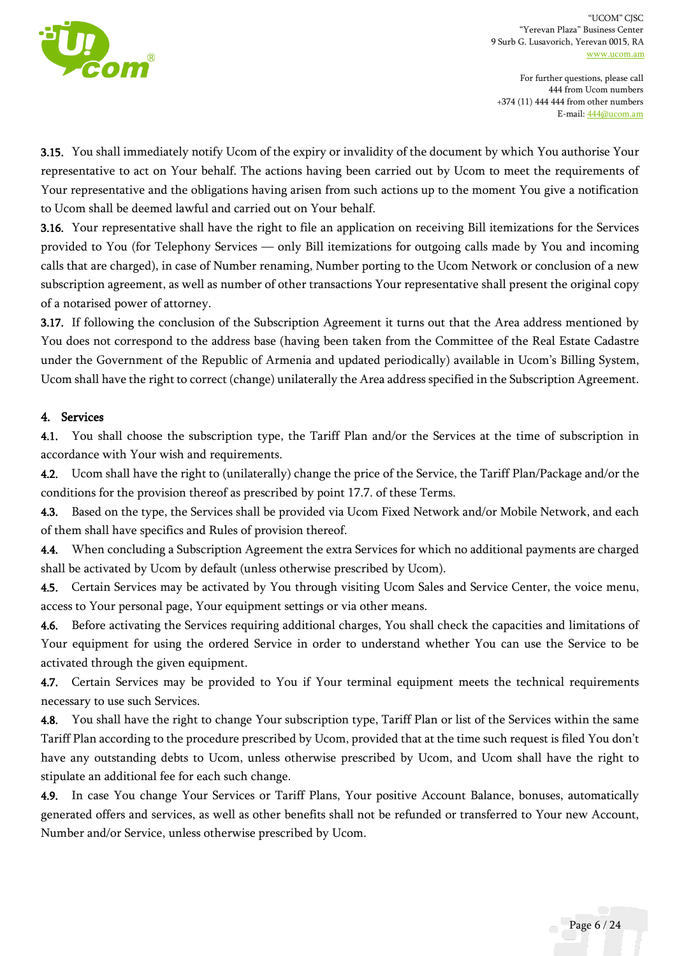

For further questions, please call 444 from Ucom numbers +374 (11) 444 444 from other numbers E-mail[: 444@ucom.am](mailto:444@ucom.am)

3.15. You shall immediately notify Ucom of the expiry or invalidity of the document by which You authorise Your representative to act on Your behalf. The actions having been carried out by Ucom to meet the requirements of Your representative and the obligations having arisen from such actions up to the moment You give a notification to Ucom shall be deemed lawful and carried out on Your behalf.

3.16. Your representative shall have the right to file an application on receiving Bill itemizations for the Services provided to You (for Telephony Services — only Bill itemizations for outgoing calls made by You and incoming calls that are charged), in case of Number renaming, Number porting to the Ucom Network or conclusion of a new subscription agreement, as well as number of other transactions Your representative shall present the original copy of a notarised power of attorney.

3.17. If following the conclusion of the Subscription Agreement it turns out that the Area address mentioned by You does not correspond to the address base (having been taken from the Committee of the Real Estate Cadastre under the Government of the Republic of Armenia and updated periodically) available in Ucom's Billing System, Ucom shall have the right to correct (change) unilaterally the Area address specified in the Subscription Agreement.

### 4. Services

4.1. You shall choose the subscription type, the Tariff Plan and/or the Services at the time of subscription in accordance with Your wish and requirements.

4.2. Ucom shall have the right to (unilaterally) change the price of the Service, the Tariff Plan/Package and/or the conditions for the provision thereof as prescribed by point 17.7. of these Terms.

4.3. Based on the type, the Services shall be provided via Ucom Fixed Network and/or Mobile Network, and each of them shall have specifics and Rules of provision thereof.

4.4. When concluding a Subscription Agreement the extra Services for which no additional payments are charged shall be activated by Ucom by default (unless otherwise prescribed by Ucom).

4.5. Certain Services may be activated by You through visiting Ucom Sales and Service Center, the voice menu, access to Your personal page, Your equipment settings or via other means.

4.6. Before activating the Services requiring additional charges, You shall check the capacities and limitations of Your equipment for using the ordered Service in order to understand whether You can use the Service to be activated through the given equipment.

4.7. Certain Services may be provided to You if Your terminal equipment meets the technical requirements necessary to use such Services.

4.8. You shall have the right to change Your subscription type, Tariff Plan or list of the Services within the same Tariff Plan according to the procedure prescribed by Ucom, provided that at the time such request is filed You don't have any outstanding debts to Ucom, unless otherwise prescribed by Ucom, and Ucom shall have the right to stipulate an additional fee for each such change.

4.9. In case You change Your Services or Tariff Plans, Your positive Account Balance, bonuses, automatically generated offers and services, as well as other benefits shall not be refunded or transferred to Your new Account, Number and/or Service, unless otherwise prescribed by Ucom.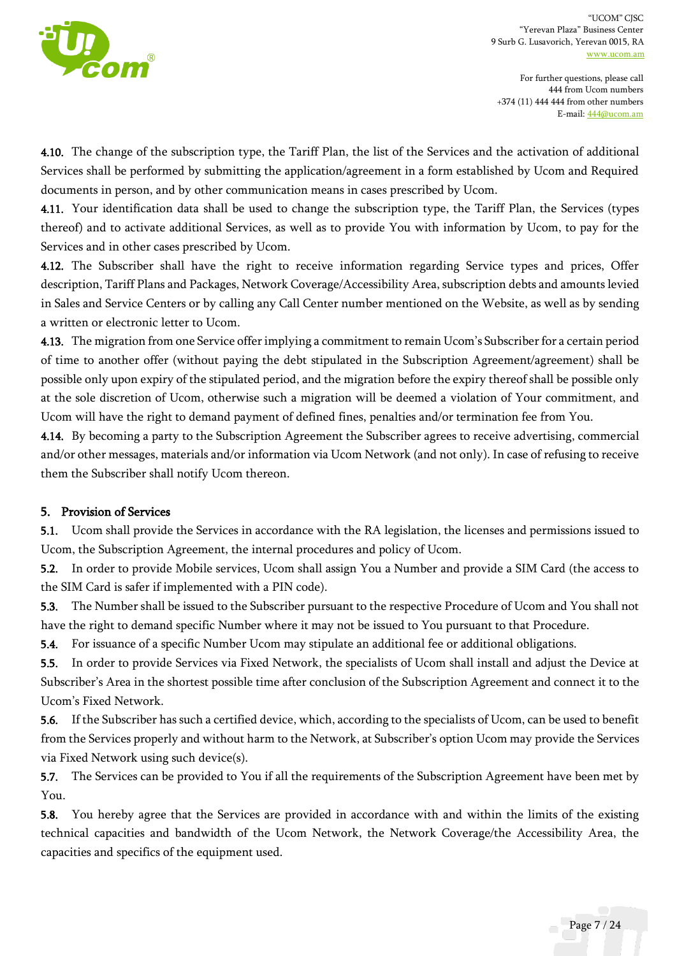

For further questions, please call 444 from Ucom numbers +374 (11) 444 444 from other numbers E-mail[: 444@ucom.am](mailto:444@ucom.am)

4.10. The change of the subscription type, the Tariff Plan, the list of the Services and the activation of additional Services shall be performed by submitting the application/agreement in a form established by Ucom and Required documents in person, and by other communication means in cases prescribed by Ucom.

4.11. Your identification data shall be used to change the subscription type, the Tariff Plan, the Services (types thereof) and to activate additional Services, as well as to provide You with information by Ucom, to pay for the Services and in other cases prescribed by Ucom.

4.12. The Subscriber shall have the right to receive information regarding Service types and prices, Offer description, Tariff Plans and Packages, Network Coverage/Accessibility Area, subscription debts and amounts levied in Sales and Service Centers or by calling any Call Center number mentioned on the Website, as well as by sending a written or electronic letter to Ucom.

4.13. The migration from one Service offer implying a commitment to remain Ucom's Subscriber for a certain period of time to another offer (without paying the debt stipulated in the Subscription Agreement/agreement) shall be possible only upon expiry of the stipulated period, and the migration before the expiry thereof shall be possible only at the sole discretion of Ucom, otherwise such a migration will be deemed a violation of Your commitment, and Ucom will have the right to demand payment of defined fines, penalties and/or termination fee from You.

4.14. By becoming a party to the Subscription Agreement the Subscriber agrees to receive advertising, commercial and/or other messages, materials and/or information via Ucom Network (and not only). In case of refusing to receive them the Subscriber shall notify Ucom thereon.

## 5. Provision of Services

5.1. Ucom shall provide the Services in accordance with the RA legislation, the licenses and permissions issued to Ucom, the Subscription Agreement, the internal procedures and policy of Ucom.

5.2. In order to provide Mobile services, Ucom shall assign You a Number and provide a SIM Card (the access to the SIM Card is safer if implemented with a PIN code).

5.3. The Number shall be issued to the Subscriber pursuant to the respective Procedure of Ucom and You shall not have the right to demand specific Number where it may not be issued to You pursuant to that Procedure.

5.4. For issuance of a specific Number Ucom may stipulate an additional fee or additional obligations.

5.5. In order to provide Services via Fixed Network, the specialists of Ucom shall install and adjust the Device at Subscriber's Area in the shortest possible time after conclusion of the Subscription Agreement and connect it to the Ucom's Fixed Network.

5.6. If the Subscriber has such a certified device, which, according to the specialists of Ucom, can be used to benefit from the Services properly and without harm to the Network, at Subscriber's option Ucom may provide the Services via Fixed Network using such device(s).

5.7. The Services can be provided to You if all the requirements of the Subscription Agreement have been met by You.

5.8. You hereby agree that the Services are provided in accordance with and within the limits of the existing technical capacities and bandwidth of the Ucom Network, the Network Coverage/the Accessibility Area, the capacities and specifics of the equipment used.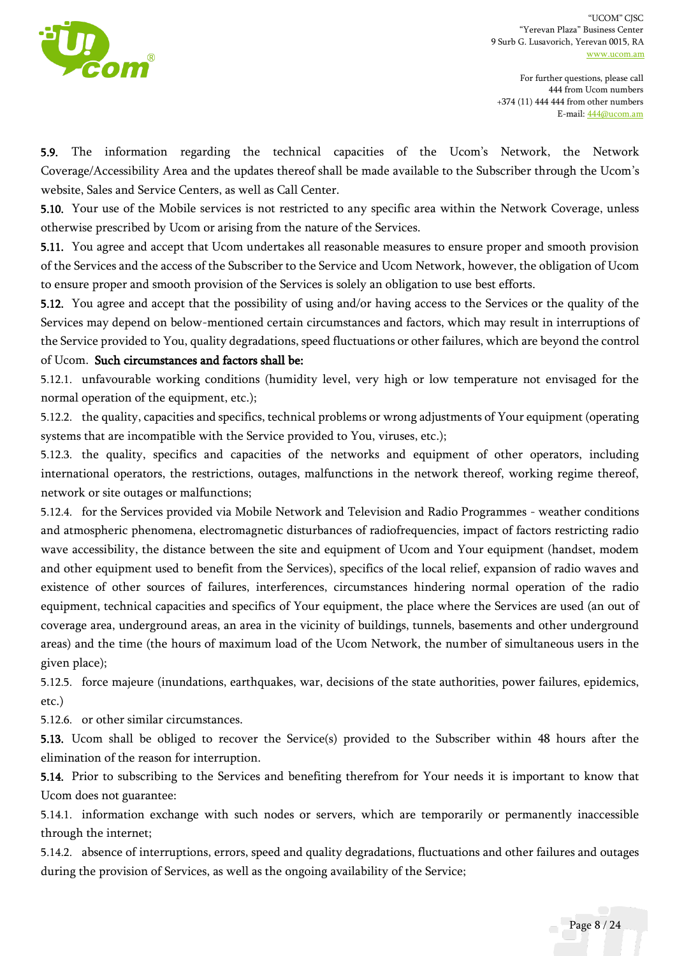

For further questions, please call 444 from Ucom numbers +374 (11) 444 444 from other numbers E-mail[: 444@ucom.am](mailto:444@ucom.am)

5.9. The information regarding the technical capacities of the Ucom's Network, the Network Coverage/Accessibility Area and the updates thereof shall be made available to the Subscriber through the Ucom's website, Sales and Service Centers, as well as Call Center.

5.10. Your use of the Mobile services is not restricted to any specific area within the Network Coverage, unless otherwise prescribed by Ucom or arising from the nature of the Services.

5.11. You agree and accept that Ucom undertakes all reasonable measures to ensure proper and smooth provision of the Services and the access of the Subscriber to the Service and Ucom Network, however, the obligation of Ucom to ensure proper and smooth provision of the Services is solely an obligation to use best efforts.

5.12. You agree and accept that the possibility of using and/or having access to the Services or the quality of the Services may depend on below-mentioned certain circumstances and factors, which may result in interruptions of the Service provided to You, quality degradations, speed fluctuations or other failures, which are beyond the control of Ucom. Such circumstances and factors shall be:

5.12.1. unfavourable working conditions (humidity level, very high or low temperature not envisaged for the normal operation of the equipment, etc.);

5.12.2. the quality, capacities and specifics, technical problems or wrong adjustments of Your equipment (operating systems that are incompatible with the Service provided to You, viruses, etc.);

5.12.3. the quality, specifics and capacities of the networks and equipment of other operators, including international operators, the restrictions, outages, malfunctions in the network thereof, working regime thereof, network or site outages or malfunctions;

5.12.4. for the Services provided via Mobile Network and Television and Radio Programmes - weather conditions and atmospheric phenomena, electromagnetic disturbances of radiofrequencies, impact of factors restricting radio wave accessibility, the distance between the site and equipment of Ucom and Your equipment (handset, modem and other equipment used to benefit from the Services), specifics of the local relief, expansion of radio waves and existence of other sources of failures, interferences, circumstances hindering normal operation of the radio equipment, technical capacities and specifics of Your equipment, the place where the Services are used (an out of coverage area, underground areas, an area in the vicinity of buildings, tunnels, basements and other underground areas) and the time (the hours of maximum load of the Ucom Network, the number of simultaneous users in the given place);

5.12.5. force majeure (inundations, earthquakes, war, decisions of the state authorities, power failures, epidemics, etc.)

5.12.6. or other similar circumstances.

5.13. Ucom shall be obliged to recover the Service(s) provided to the Subscriber within 48 hours after the elimination of the reason for interruption.

5.14. Prior to subscribing to the Services and benefiting therefrom for Your needs it is important to know that Ucom does not guarantee:

5.14.1. information exchange with such nodes or servers, which are temporarily or permanently inaccessible through the internet;

5.14.2. absence of interruptions, errors, speed and quality degradations, fluctuations and other failures and outages during the provision of Services, as well as the ongoing availability of the Service;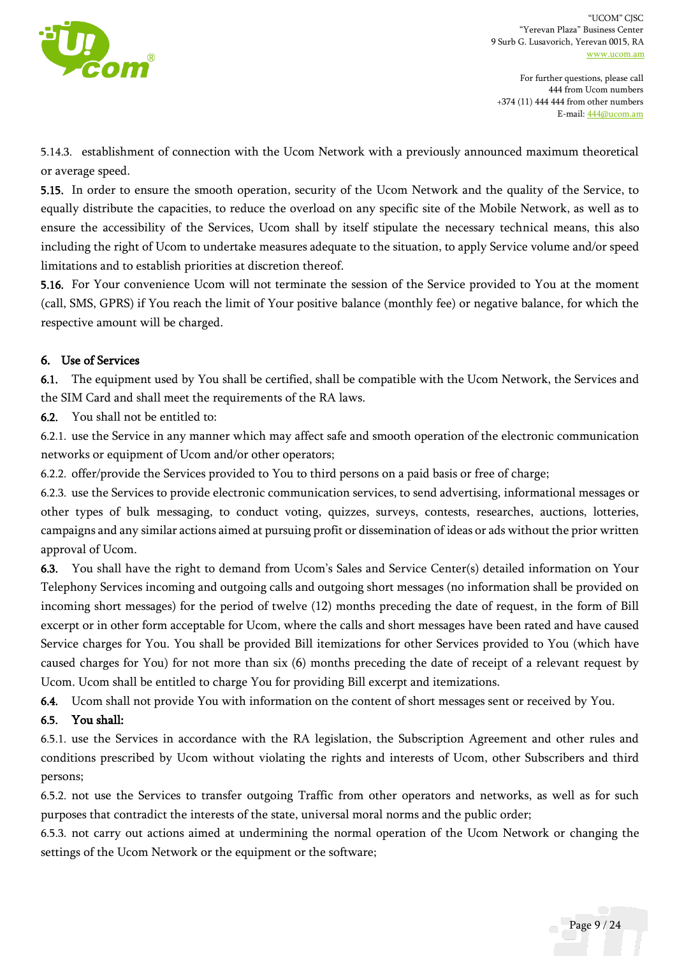

5.14.3. establishment of connection with the Ucom Network with a previously announced maximum theoretical or average speed.

5.15. In order to ensure the smooth operation, security of the Ucom Network and the quality of the Service, to equally distribute the capacities, to reduce the overload on any specific site of the Mobile Network, as well as to ensure the accessibility of the Services, Ucom shall by itself stipulate the necessary technical means, this also including the right of Ucom to undertake measures adequate to the situation, to apply Service volume and/or speed limitations and to establish priorities at discretion thereof.

5.16. For Your convenience Ucom will not terminate the session of the Service provided to You at the moment (call, SMS, GPRS) if You reach the limit of Your positive balance (monthly fee) or negative balance, for which the respective amount will be charged.

### 6. Use of Services

6.1. The equipment used by You shall be certified, shall be compatible with the Ucom Network, the Services and the SIM Card and shall meet the requirements of the RA laws.

6.2. You shall not be entitled to:

6.2.1. use the Service in any manner which may affect safe and smooth operation of the electronic communication networks or equipment of Ucom and/or other operators;

6.2.2. offer/provide the Services provided to You to third persons on a paid basis or free of charge;

6.2.3. use the Services to provide electronic communication services, to send advertising, informational messages or other types of bulk messaging, to conduct voting, quizzes, surveys, contests, researches, auctions, lotteries, campaigns and any similar actions aimed at pursuing profit or dissemination of ideas or ads without the prior written approval of Ucom.

6.3. You shall have the right to demand from Ucom's Sales and Service Center(s) detailed information on Your Telephony Services incoming and outgoing calls and outgoing short messages (no information shall be provided on incoming short messages) for the period of twelve (12) months preceding the date of request, in the form of Bill excerpt or in other form acceptable for Ucom, where the calls and short messages have been rated and have caused Service charges for You. You shall be provided Bill itemizations for other Services provided to You (which have caused charges for You) for not more than six (6) months preceding the date of receipt of a relevant request by Ucom. Ucom shall be entitled to charge You for providing Bill excerpt and itemizations.

6.4. Ucom shall not provide You with information on the content of short messages sent or received by You.

## 6.5. You shall:

6.5.1. use the Services in accordance with the RA legislation, the Subscription Agreement and other rules and conditions prescribed by Ucom without violating the rights and interests of Ucom, other Subscribers and third persons;

6.5.2. not use the Services to transfer outgoing Traffic from other operators and networks, as well as for such purposes that contradict the interests of the state, universal moral norms and the public order;

6.5.3. not carry out actions aimed at undermining the normal operation of the Ucom Network or changing the settings of the Ucom Network or the equipment or the software;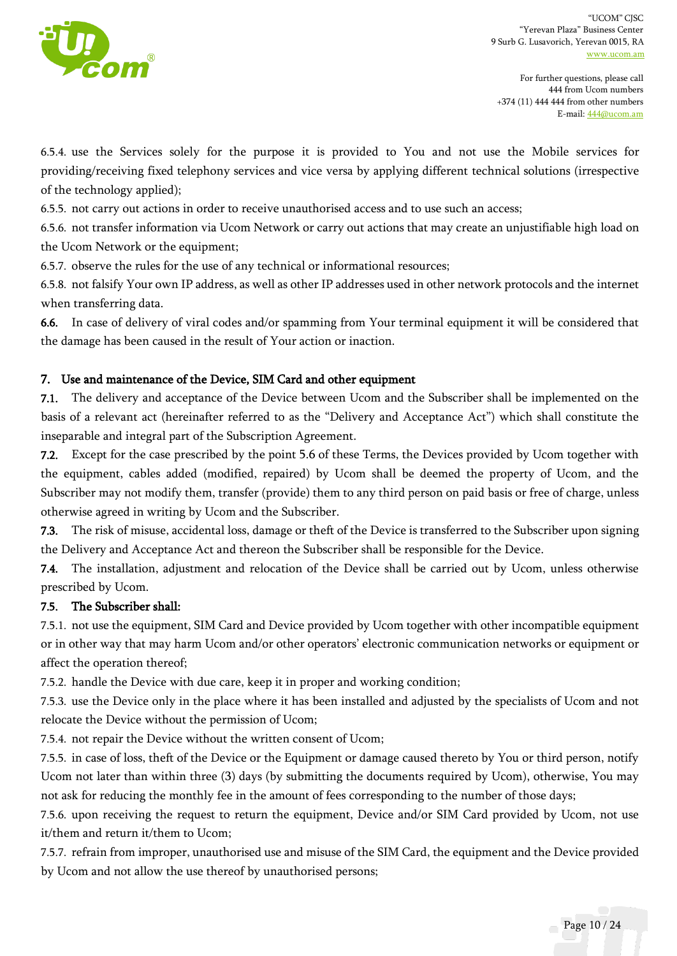

For further questions, please call 444 from Ucom numbers +374 (11) 444 444 from other numbers E-mail[: 444@ucom.am](mailto:444@ucom.am)

6.5.4. use the Services solely for the purpose it is provided to You and not use the Mobile services for providing/receiving fixed telephony services and vice versa by applying different technical solutions (irrespective of the technology applied);

6.5.5. not carry out actions in order to receive unauthorised access and to use such an access;

6.5.6. not transfer information via Ucom Network or carry out actions that may create an unjustifiable high load on the Ucom Network or the equipment;

6.5.7. observe the rules for the use of any technical or informational resources;

6.5.8. not falsify Your own IP address, as well as other IP addresses used in other network protocols and the internet when transferring data.

6.6. In case of delivery of viral codes and/or spamming from Your terminal equipment it will be considered that the damage has been caused in the result of Your action or inaction.

### 7. Use and maintenance of the Device, SIM Card and other equipment

7.1. The delivery and acceptance of the Device between Ucom and the Subscriber shall be implemented on the basis of a relevant act (hereinafter referred to as the "Delivery and Acceptance Act") which shall constitute the inseparable and integral part of the Subscription Agreement.

7.2. Except for the case prescribed by the point 5.6 of these Terms, the Devices provided by Ucom together with the equipment, cables added (modified, repaired) by Ucom shall be deemed the property of Ucom, and the Subscriber may not modify them, transfer (provide) them to any third person on paid basis or free of charge, unless otherwise agreed in writing by Ucom and the Subscriber.

7.3. The risk of misuse, accidental loss, damage or theft of the Device is transferred to the Subscriber upon signing the Delivery and Acceptance Act and thereon the Subscriber shall be responsible for the Device.

7.4. The installation, adjustment and relocation of the Device shall be carried out by Ucom, unless otherwise prescribed by Ucom.

#### 7.5. The Subscriber shall:

7.5.1. not use the equipment, SIM Card and Device provided by Ucom together with other incompatible equipment or in other way that may harm Ucom and/or other operators' electronic communication networks or equipment or affect the operation thereof;

7.5.2. handle the Device with due care, keep it in proper and working condition;

7.5.3. use the Device only in the place where it has been installed and adjusted by the specialists of Ucom and not relocate the Device without the permission of Ucom;

7.5.4. not repair the Device without the written consent of Ucom;

7.5.5. in case of loss, theft of the Device or the Equipment or damage caused thereto by You or third person, notify Ucom not later than within three (3) days (by submitting the documents required by Ucom), otherwise, You may not ask for reducing the monthly fee in the amount of fees corresponding to the number of those days;

7.5.6. upon receiving the request to return the equipment, Device and/or SIM Card provided by Ucom, not use it/them and return it/them to Ucom;

7.5.7. refrain from improper, unauthorised use and misuse of the SIM Card, the equipment and the Device provided by Ucom and not allow the use thereof by unauthorised persons;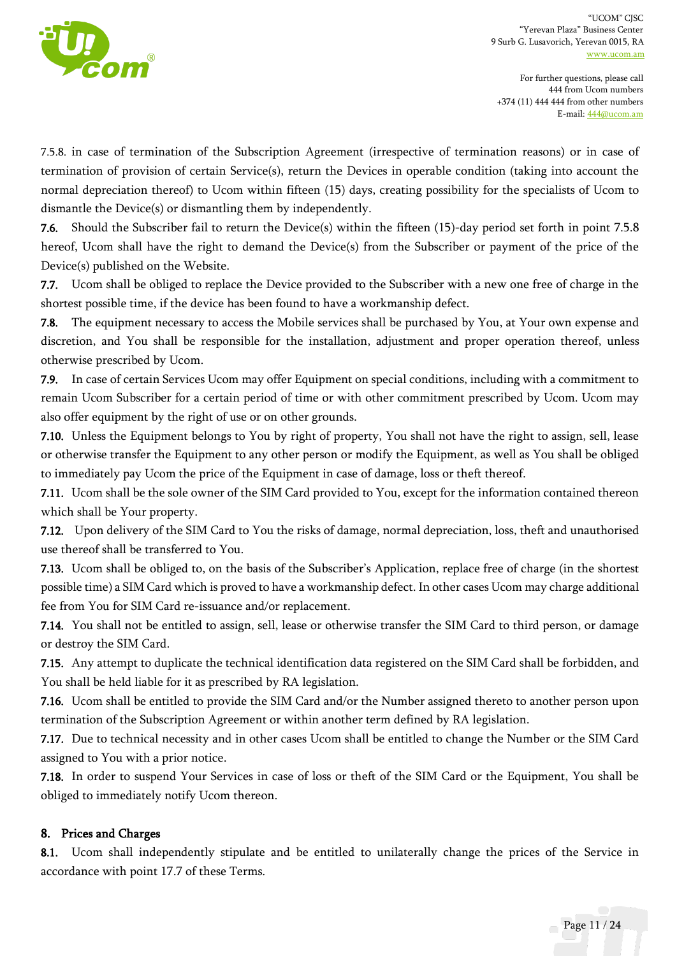

For further questions, please call 444 from Ucom numbers +374 (11) 444 444 from other numbers E-mail[: 444@ucom.am](mailto:444@ucom.am)

7.5.8. in case of termination of the Subscription Agreement (irrespective of termination reasons) or in case of termination of provision of certain Service(s), return the Devices in operable condition (taking into account the normal depreciation thereof) to Ucom within fifteen (15) days, creating possibility for the specialists of Ucom to dismantle the Device(s) or dismantling them by independently.

7.6. Should the Subscriber fail to return the Device(s) within the fifteen (15)-day period set forth in point 7.5.8 hereof, Ucom shall have the right to demand the Device(s) from the Subscriber or payment of the price of the Device(s) published on the Website.

7.7. Ucom shall be obliged to replace the Device provided to the Subscriber with a new one free of charge in the shortest possible time, if the device has been found to have a workmanship defect.

7.8. The equipment necessary to access the Mobile services shall be purchased by You, at Your own expense and discretion, and You shall be responsible for the installation, adjustment and proper operation thereof, unless otherwise prescribed by Ucom.

7.9. In case of certain Services Ucom may offer Equipment on special conditions, including with a commitment to remain Ucom Subscriber for a certain period of time or with other commitment prescribed by Ucom. Ucom may also offer equipment by the right of use or on other grounds.

7.10. Unless the Equipment belongs to You by right of property, You shall not have the right to assign, sell, lease or otherwise transfer the Equipment to any other person or modify the Equipment, as well as You shall be obliged to immediately pay Ucom the price of the Equipment in case of damage, loss or theft thereof.

7.11. Ucom shall be the sole owner of the SIM Card provided to You, except for the information contained thereon which shall be Your property.

7.12. Upon delivery of the SIM Card to You the risks of damage, normal depreciation, loss, theft and unauthorised use thereof shall be transferred to You.

7.13. Ucom shall be obliged to, on the basis of the Subscriber's Application, replace free of charge (in the shortest possible time) a SIM Card which is proved to have a workmanship defect. In other cases Ucom may charge additional fee from You for SIM Card re-issuance and/or replacement.

7.14. You shall not be entitled to assign, sell, lease or otherwise transfer the SIM Card to third person, or damage or destroy the SIM Card.

7.15. Any attempt to duplicate the technical identification data registered on the SIM Card shall be forbidden, and You shall be held liable for it as prescribed by RA legislation.

7.16. Ucom shall be entitled to provide the SIM Card and/or the Number assigned thereto to another person upon termination of the Subscription Agreement or within another term defined by RA legislation.

7.17. Due to technical necessity and in other cases Ucom shall be entitled to change the Number or the SIM Card assigned to You with a prior notice.

7.18. In order to suspend Your Services in case of loss or theft of the SIM Card or the Equipment, You shall be obliged to immediately notify Ucom thereon.

## 8. Prices and Charges

8.1. Ucom shall independently stipulate and be entitled to unilaterally change the prices of the Service in accordance with point 17.7 of these Terms.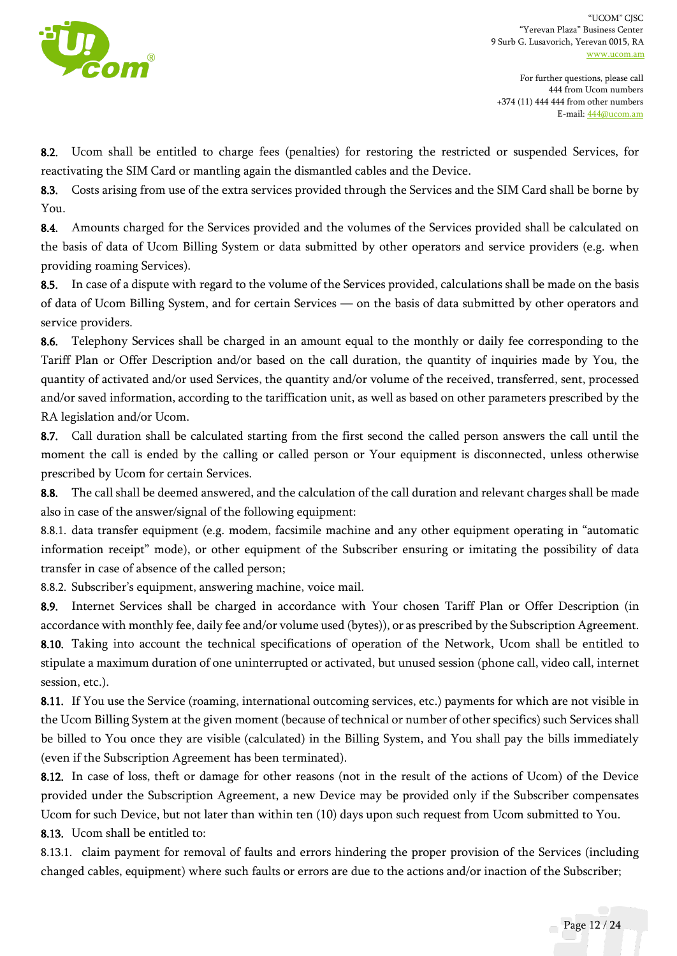

For further questions, please call 444 from Ucom numbers +374 (11) 444 444 from other numbers E-mail[: 444@ucom.am](mailto:444@ucom.am)

8.2. Ucom shall be entitled to charge fees (penalties) for restoring the restricted or suspended Services, for reactivating the SIM Card or mantling again the dismantled cables and the Device.

8.3. Costs arising from use of the extra services provided through the Services and the SIM Card shall be borne by You.

8.4. Amounts charged for the Services provided and the volumes of the Services provided shall be calculated on the basis of data of Ucom Billing System or data submitted by other operators and service providers (e.g. when providing roaming Services).

8.5. In case of a dispute with regard to the volume of the Services provided, calculations shall be made on the basis of data of Ucom Billing System, and for certain Services — on the basis of data submitted by other operators and service providers.

8.6. Telephony Services shall be charged in an amount equal to the monthly or daily fee corresponding to the Tariff Plan or Offer Description and/or based on the call duration, the quantity of inquiries made by You, the quantity of activated and/or used Services, the quantity and/or volume of the received, transferred, sent, processed and/or saved information, according to the tariffication unit, as well as based on other parameters prescribed by the RA legislation and/or Ucom.

8.7. Call duration shall be calculated starting from the first second the called person answers the call until the moment the call is ended by the calling or called person or Your equipment is disconnected, unless otherwise prescribed by Ucom for certain Services.

8.8. The call shall be deemed answered, and the calculation of the call duration and relevant charges shall be made also in case of the answer/signal of the following equipment:

8.8.1. data transfer equipment (e.g. modem, facsimile machine and any other equipment operating in "automatic information receipt" mode), or other equipment of the Subscriber ensuring or imitating the possibility of data transfer in case of absence of the called person;

8.8.2. Subscriber's equipment, answering machine, voice mail.

8.9. Internet Services shall be charged in accordance with Your chosen Tariff Plan or Offer Description (in accordance with monthly fee, daily fee and/or volume used (bytes)), or as prescribed by the Subscription Agreement. 8.10. Taking into account the technical specifications of operation of the Network, Ucom shall be entitled to stipulate a maximum duration of one uninterrupted or activated, but unused session (phone call, video call, internet session, etc.).

8.11. If You use the Service (roaming, international outcoming services, etc.) payments for which are not visible in the Ucom Billing System at the given moment (because of technical or number of other specifics) such Services shall be billed to You once they are visible (calculated) in the Billing System, and You shall pay the bills immediately (even if the Subscription Agreement has been terminated).

8.12. In case of loss, theft or damage for other reasons (not in the result of the actions of Ucom) of the Device provided under the Subscription Agreement, a new Device may be provided only if the Subscriber compensates Ucom for such Device, but not later than within ten (10) days upon such request from Ucom submitted to You.

8.13. Ucom shall be entitled to:

8.13.1. claim payment for removal of faults and errors hindering the proper provision of the Services (including changed cables, equipment) where such faults or errors are due to the actions and/or inaction of the Subscriber;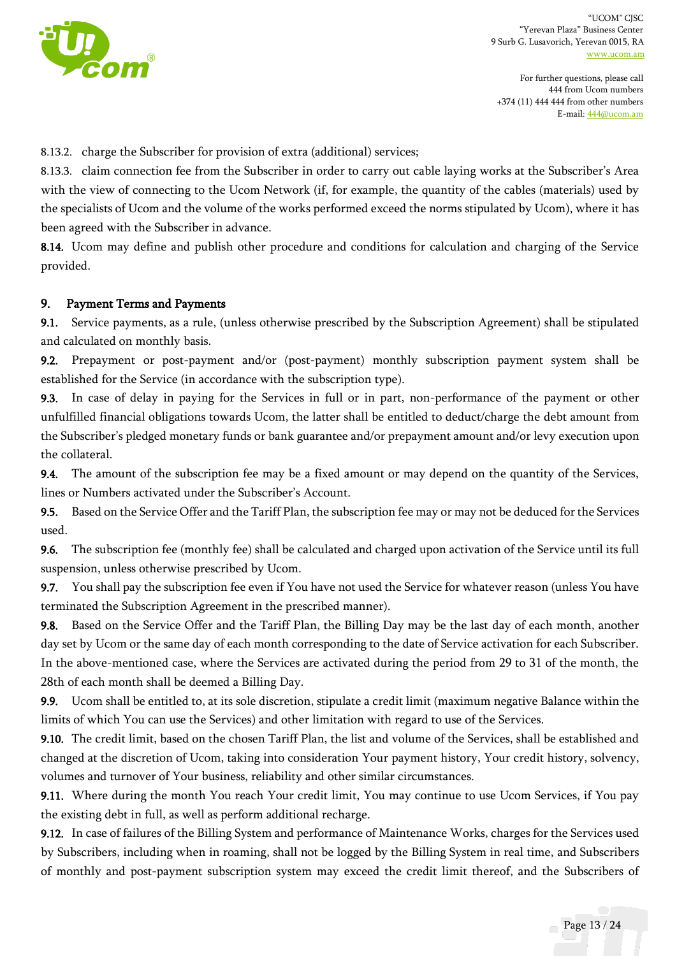

8.13.2. charge the Subscriber for provision of extra (additional) services;

8.13.3. claim connection fee from the Subscriber in order to carry out cable laying works at the Subscriber's Area with the view of connecting to the Ucom Network (if, for example, the quantity of the cables (materials) used by the specialists of Ucom and the volume of the works performed exceed the norms stipulated by Ucom), where it has been agreed with the Subscriber in advance.

8.14. Ucom may define and publish other procedure and conditions for calculation and charging of the Service provided.

#### 9. Payment Terms and Payments

9.1. Service payments, as a rule, (unless otherwise prescribed by the Subscription Agreement) shall be stipulated and calculated on monthly basis.

9.2. Prepayment or post-payment and/or (post-payment) monthly subscription payment system shall be established for the Service (in accordance with the subscription type).

9.3. In case of delay in paying for the Services in full or in part, non-performance of the payment or other unfulfilled financial obligations towards Ucom, the latter shall be entitled to deduct/charge the debt amount from the Subscriber's pledged monetary funds or bank guarantee and/or prepayment amount and/or levy execution upon the collateral.

9.4. The amount of the subscription fee may be a fixed amount or may depend on the quantity of the Services, lines or Numbers activated under the Subscriber's Account.

9.5. Based on the Service Offer and the Tariff Plan, the subscription fee may or may not be deduced for the Services used.

9.6. The subscription fee (monthly fee) shall be calculated and charged upon activation of the Service until its full suspension, unless otherwise prescribed by Ucom.

9.7. You shall pay the subscription fee even if You have not used the Service for whatever reason (unless You have terminated the Subscription Agreement in the prescribed manner).

9.8. Based on the Service Offer and the Tariff Plan, the Billing Day may be the last day of each month, another day set by Ucom or the same day of each month corresponding to the date of Service activation for each Subscriber. In the above-mentioned case, where the Services are activated during the period from 29 to 31 of the month, the 28th of each month shall be deemed a Billing Day.

9.9. Ucom shall be entitled to, at its sole discretion, stipulate a credit limit (maximum negative Balance within the limits of which You can use the Services) and other limitation with regard to use of the Services.

9.10. The credit limit, based on the chosen Tariff Plan, the list and volume of the Services, shall be established and changed at the discretion of Ucom, taking into consideration Your payment history, Your credit history, solvency, volumes and turnover of Your business, reliability and other similar circumstances.

9.11. Where during the month You reach Your credit limit, You may continue to use Ucom Services, if You pay the existing debt in full, as well as perform additional recharge.

9.12. In case of failures of the Billing System and performance of Maintenance Works, charges for the Services used by Subscribers, including when in roaming, shall not be logged by the Billing System in real time, and Subscribers of monthly and post-payment subscription system may exceed the credit limit thereof, and the Subscribers of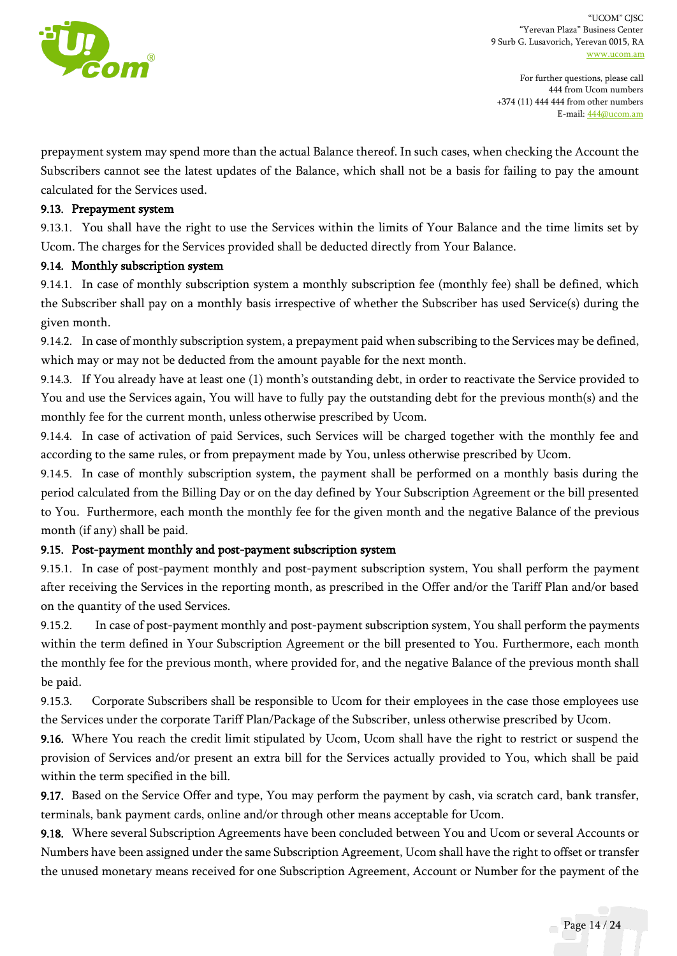

For further questions, please call 444 from Ucom numbers +374 (11) 444 444 from other numbers E-mail[: 444@ucom.am](mailto:444@ucom.am)

prepayment system may spend more than the actual Balance thereof. In such cases, when checking the Account the Subscribers cannot see the latest updates of the Balance, which shall not be a basis for failing to pay the amount calculated for the Services used.

#### 9.13. Prepayment system

9.13.1. You shall have the right to use the Services within the limits of Your Balance and the time limits set by Ucom. The charges for the Services provided shall be deducted directly from Your Balance.

#### 9.14. Monthly subscription system

9.14.1. In case of monthly subscription system a monthly subscription fee (monthly fee) shall be defined, which the Subscriber shall pay on a monthly basis irrespective of whether the Subscriber has used Service(s) during the given month.

9.14.2. In case of monthly subscription system, a prepayment paid when subscribing to the Services may be defined, which may or may not be deducted from the amount payable for the next month.

9.14.3. If You already have at least one (1) month's outstanding debt, in order to reactivate the Service provided to You and use the Services again, You will have to fully pay the outstanding debt for the previous month(s) and the monthly fee for the current month, unless otherwise prescribed by Ucom.

9.14.4. In case of activation of paid Services, such Services will be charged together with the monthly fee and according to the same rules, or from prepayment made by You, unless otherwise prescribed by Ucom.

9.14.5. In case of monthly subscription system, the payment shall be performed on a monthly basis during the period calculated from the Billing Day or on the day defined by Your Subscription Agreement or the bill presented to You. Furthermore, each month the monthly fee for the given month and the negative Balance of the previous month (if any) shall be paid.

### 9.15. Post-payment monthly and post-payment subscription system

9.15.1. In case of post-payment monthly and post-payment subscription system, You shall perform the payment after receiving the Services in the reporting month, as prescribed in the Offer and/or the Tariff Plan and/or based on the quantity of the used Services.

9.15.2. In case of post-payment monthly and post-payment subscription system, You shall perform the payments within the term defined in Your Subscription Agreement or the bill presented to You. Furthermore, each month the monthly fee for the previous month, where provided for, and the negative Balance of the previous month shall be paid.

9.15.3. Corporate Subscribers shall be responsible to Ucom for their employees in the case those employees use the Services under the corporate Tariff Plan/Package of the Subscriber, unless otherwise prescribed by Ucom.

9.16. Where You reach the credit limit stipulated by Ucom, Ucom shall have the right to restrict or suspend the provision of Services and/or present an extra bill for the Services actually provided to You, which shall be paid within the term specified in the bill.

9.17. Based on the Service Offer and type, You may perform the payment by cash, via scratch card, bank transfer, terminals, bank payment cards, online and/or through other means acceptable for Ucom.

9.18. Where several Subscription Agreements have been concluded between You and Ucom or several Accounts or Numbers have been assigned under the same Subscription Agreement, Ucom shall have the right to offset or transfer the unused monetary means received for one Subscription Agreement, Account or Number for the payment of the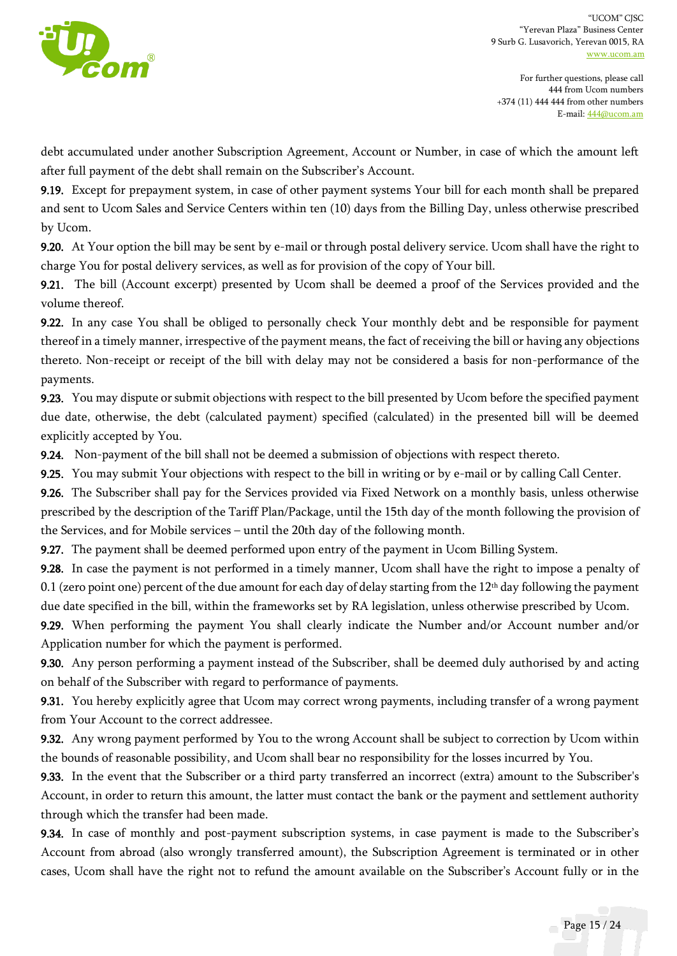

debt accumulated under another Subscription Agreement, Account or Number, in case of which the amount left after full payment of the debt shall remain on the Subscriber's Account.

9.19. Except for prepayment system, in case of other payment systems Your bill for each month shall be prepared and sent to Ucom Sales and Service Centers within ten (10) days from the Billing Day, unless otherwise prescribed by Ucom.

9.20. At Your option the bill may be sent by e-mail or through postal delivery service. Ucom shall have the right to charge You for postal delivery services, as well as for provision of the copy of Your bill.

9.21. The bill (Account excerpt) presented by Ucom shall be deemed a proof of the Services provided and the volume thereof.

9.22. In any case You shall be obliged to personally check Your monthly debt and be responsible for payment thereof in a timely manner, irrespective of the payment means, the fact of receiving the bill or having any objections thereto. Non-receipt or receipt of the bill with delay may not be considered a basis for non-performance of the payments.

9.23. You may dispute or submit objections with respect to the bill presented by Ucom before the specified payment due date, otherwise, the debt (calculated payment) specified (calculated) in the presented bill will be deemed explicitly accepted by You.

9.24. Non-payment of the bill shall not be deemed a submission of objections with respect thereto.

9.25. You may submit Your objections with respect to the bill in writing or by e-mail or by calling Call Center.

9.26. The Subscriber shall pay for the Services provided via Fixed Network on a monthly basis, unless otherwise prescribed by the description of the Tariff Plan/Package, until the 15th day of the month following the provision of the Services, and for Mobile services – until the 20th day of the following month.

9.27. The payment shall be deemed performed upon entry of the payment in Ucom Billing System.

9.28. In case the payment is not performed in a timely manner, Ucom shall have the right to impose a penalty of 0.1 (zero point one) percent of the due amount for each day of delay starting from the  $12<sup>th</sup>$  day following the payment due date specified in the bill, within the frameworks set by RA legislation, unless otherwise prescribed by Ucom.

9.29. When performing the payment You shall clearly indicate the Number and/or Account number and/or Application number for which the payment is performed.

9.30. Any person performing a payment instead of the Subscriber, shall be deemed duly authorised by and acting on behalf of the Subscriber with regard to performance of payments.

9.31. You hereby explicitly agree that Ucom may correct wrong payments, including transfer of a wrong payment from Your Account to the correct addressee.

9.32. Any wrong payment performed by You to the wrong Account shall be subject to correction by Ucom within the bounds of reasonable possibility, and Ucom shall bear no responsibility for the losses incurred by You.

9.33. In the event that the Subscriber or a third party transferred an incorrect (extra) amount to the Subscriber's Account, in order to return this amount, the latter must contact the bank or the payment and settlement authority through which the transfer had been made.

9.34. In case of monthly and post-payment subscription systems, in case payment is made to the Subscriber's Account from abroad (also wrongly transferred amount), the Subscription Agreement is terminated or in other cases, Ucom shall have the right not to refund the amount available on the Subscriber's Account fully or in the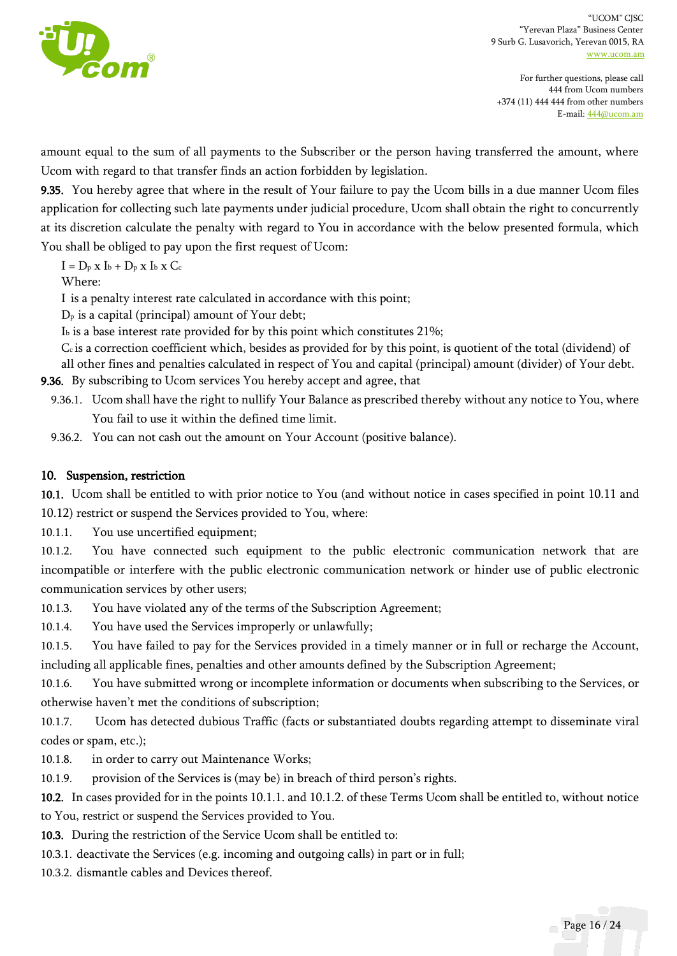

amount equal to the sum of all payments to the Subscriber or the person having transferred the amount, where Ucom with regard to that transfer finds an action forbidden by legislation.

9.35. You hereby agree that where in the result of Your failure to pay the Ucom bills in a due manner Ucom files application for collecting such late payments under judicial procedure, Ucom shall obtain the right to concurrently at its discretion calculate the penalty with regard to You in accordance with the below presented formula, which You shall be obliged to pay upon the first request of Ucom:

 $I = D_p x I_b + D_p x I_b x C_c$ 

Where:

I is a penalty interest rate calculated in accordance with this point;

 $D<sub>p</sub>$  is a capital (principal) amount of Your debt;

I<sup>b</sup> is a base interest rate provided for by this point which constitutes 21%;

Cc is a correction coefficient which, besides as provided for by this point, is quotient of the total (dividend) of

all other fines and penalties calculated in respect of You and capital (principal) amount (divider) of Your debt. 9.36. By subscribing to Ucom services You hereby accept and agree, that

9.36.1. Ucom shall have the right to nullify Your Balance as prescribed thereby without any notice to You, where You fail to use it within the defined time limit.

9.36.2. You can not cash out the amount on Your Account (positive balance).

### 10. Suspension, restriction

10.1. Ucom shall be entitled to with prior notice to You (and without notice in cases specified in point 10.11 and 10.12) restrict or suspend the Services provided to You, where:

10.1.1. You use uncertified equipment;

10.1.2. You have connected such equipment to the public electronic communication network that are incompatible or interfere with the public electronic communication network or hinder use of public electronic communication services by other users;

10.1.3. You have violated any of the terms of the Subscription Agreement;

10.1.4. You have used the Services improperly or unlawfully;

10.1.5. You have failed to pay for the Services provided in a timely manner or in full or recharge the Account, including all applicable fines, penalties and other amounts defined by the Subscription Agreement;

10.1.6. You have submitted wrong or incomplete information or documents when subscribing to the Services, or otherwise haven't met the conditions of subscription;

10.1.7. Ucom has detected dubious Traffic (facts or substantiated doubts regarding attempt to disseminate viral codes or spam, etc.);

10.1.8. in order to carry out Maintenance Works;

10.1.9. provision of the Services is (may be) in breach of third person's rights.

10.2. In cases provided for in the points 10.1.1. and 10.1.2. of these Terms Ucom shall be entitled to, without notice to You, restrict or suspend the Services provided to You.

10.3. During the restriction of the Service Ucom shall be entitled to:

10.3.1. deactivate the Services (e.g. incoming and outgoing calls) in part or in full;

10.3.2. dismantle cables and Devices thereof.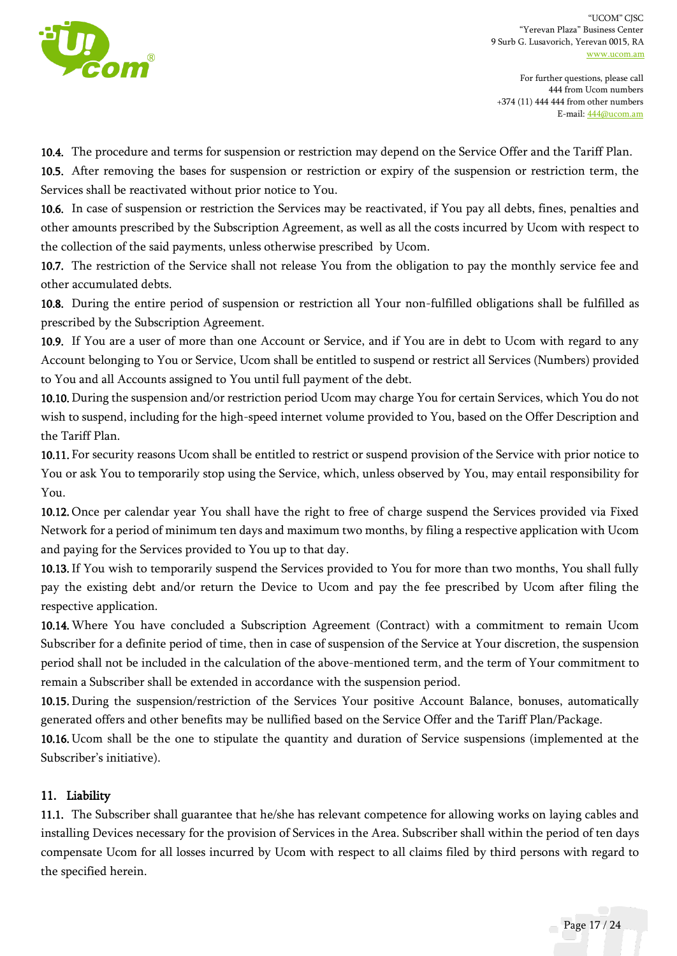

For further questions, please call 444 from Ucom numbers +374 (11) 444 444 from other numbers E-mail[: 444@ucom.am](mailto:444@ucom.am)

10.4. The procedure and terms for suspension or restriction may depend on the Service Offer and the Tariff Plan.

10.5. After removing the bases for suspension or restriction or expiry of the suspension or restriction term, the Services shall be reactivated without prior notice to You.

10.6. In case of suspension or restriction the Services may be reactivated, if You pay all debts, fines, penalties and other amounts prescribed by the Subscription Agreement, as well as all the costs incurred by Ucom with respect to the collection of the said payments, unless otherwise prescribed by Ucom.

10.7. The restriction of the Service shall not release You from the obligation to pay the monthly service fee and other accumulated debts.

10.8. During the entire period of suspension or restriction all Your non-fulfilled obligations shall be fulfilled as prescribed by the Subscription Agreement.

10.9. If You are a user of more than one Account or Service, and if You are in debt to Ucom with regard to any Account belonging to You or Service, Ucom shall be entitled to suspend or restrict all Services (Numbers) provided to You and all Accounts assigned to You until full payment of the debt.

10.10. During the suspension and/or restriction period Ucom may charge You for certain Services, which You do not wish to suspend, including for the high-speed internet volume provided to You, based on the Offer Description and the Tariff Plan.

10.11. For security reasons Ucom shall be entitled to restrict or suspend provision of the Service with prior notice to You or ask You to temporarily stop using the Service, which, unless observed by You, may entail responsibility for You.

10.12. Once per calendar year You shall have the right to free of charge suspend the Services provided via Fixed Network for a period of minimum ten days and maximum two months, by filing a respective application with Ucom and paying for the Services provided to You up to that day.

10.13.If You wish to temporarily suspend the Services provided to You for more than two months, You shall fully pay the existing debt and/or return the Device to Ucom and pay the fee prescribed by Ucom after filing the respective application.

10.14.Where You have concluded a Subscription Agreement (Contract) with a commitment to remain Ucom Subscriber for a definite period of time, then in case of suspension of the Service at Your discretion, the suspension period shall not be included in the calculation of the above-mentioned term, and the term of Your commitment to remain a Subscriber shall be extended in accordance with the suspension period.

10.15. During the suspension/restriction of the Services Your positive Account Balance, bonuses, automatically generated offers and other benefits may be nullified based on the Service Offer and the Tariff Plan/Package.

10.16. Ucom shall be the one to stipulate the quantity and duration of Service suspensions (implemented at the Subscriber's initiative).

## 11. Liability

11.1. The Subscriber shall guarantee that he/she has relevant competence for allowing works on laying cables and installing Devices necessary for the provision of Services in the Area. Subscriber shall within the period of ten days compensate Ucom for all losses incurred by Ucom with respect to all claims filed by third persons with regard to the specified herein.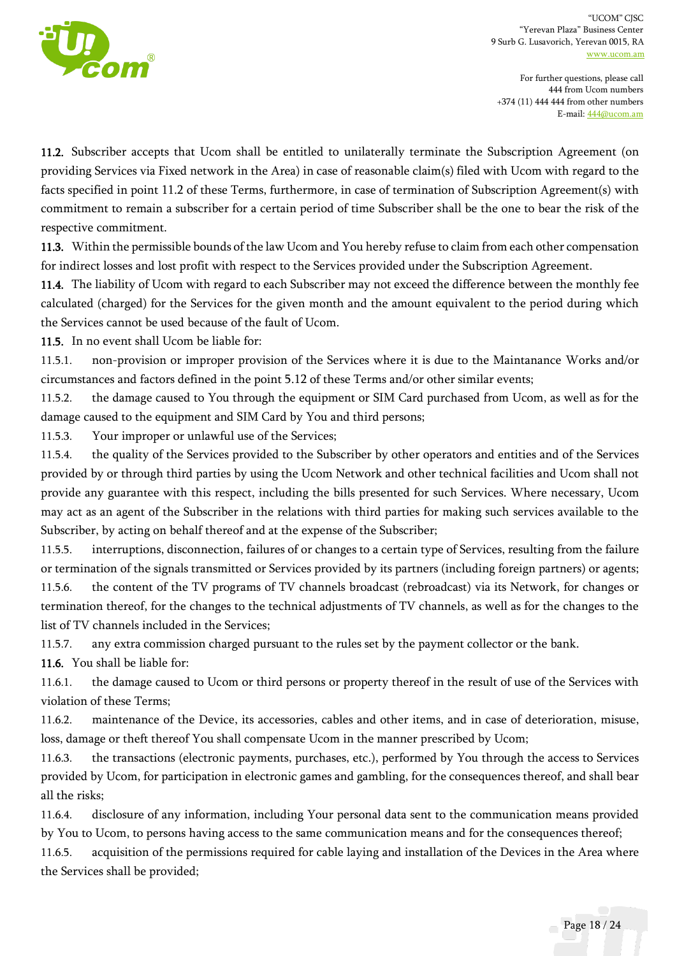

For further questions, please call 444 from Ucom numbers +374 (11) 444 444 from other numbers E-mail[: 444@ucom.am](mailto:444@ucom.am)

11.2. Subscriber accepts that Ucom shall be entitled to unilaterally terminate the Subscription Agreement (on providing Services via Fixed network in the Area) in case of reasonable claim(s) filed with Ucom with regard to the facts specified in point 11.2 of these Terms, furthermore, in case of termination of Subscription Agreement(s) with commitment to remain a subscriber for a certain period of time Subscriber shall be the one to bear the risk of the respective commitment.

11.3. Within the permissible bounds of the law Ucom and You hereby refuse to claim from each other compensation for indirect losses and lost profit with respect to the Services provided under the Subscription Agreement.

11.4. The liability of Ucom with regard to each Subscriber may not exceed the difference between the monthly fee calculated (charged) for the Services for the given month and the amount equivalent to the period during which the Services cannot be used because of the fault of Ucom.

11.5. In no event shall Ucom be liable for:

11.5.1. non-provision or improper provision of the Services where it is due to the Maintanance Works and/or circumstances and factors defined in the point 5.12 of these Terms and/or other similar events;

11.5.2. the damage caused to You through the equipment or SIM Card purchased from Ucom, as well as for the damage caused to the equipment and SIM Card by You and third persons;

11.5.3. Your improper or unlawful use of the Services;

11.5.4. the quality of the Services provided to the Subscriber by other operators and entities and of the Services provided by or through third parties by using the Ucom Network and other technical facilities and Ucom shall not provide any guarantee with this respect, including the bills presented for such Services. Where necessary, Ucom may act as an agent of the Subscriber in the relations with third parties for making such services available to the Subscriber, by acting on behalf thereof and at the expense of the Subscriber;

11.5.5. interruptions, disconnection, failures of or changes to a certain type of Services, resulting from the failure or termination of the signals transmitted or Services provided by its partners (including foreign partners) or agents; 11.5.6. the content of the TV programs of TV channels broadcast (rebroadcast) via its Network, for changes or termination thereof, for the changes to the technical adjustments of TV channels, as well as for the changes to the list of TV channels included in the Services;

11.5.7. any extra commission charged pursuant to the rules set by the payment collector or the bank.

11.6. You shall be liable for:

11.6.1. the damage caused to Ucom or third persons or property thereof in the result of use of the Services with violation of these Terms;

11.6.2. maintenance of the Device, its accessories, cables and other items, and in case of deterioration, misuse, loss, damage or theft thereof You shall compensate Ucom in the manner prescribed by Ucom;

11.6.3. the transactions (electronic payments, purchases, etc.), performed by You through the access to Services provided by Ucom, for participation in electronic games and gambling, for the consequences thereof, and shall bear all the risks;

11.6.4. disclosure of any information, including Your personal data sent to the communication means provided by You to Ucom, to persons having access to the same communication means and for the consequences thereof;

11.6.5. acquisition of the permissions required for cable laying and installation of the Devices in the Area where the Services shall be provided;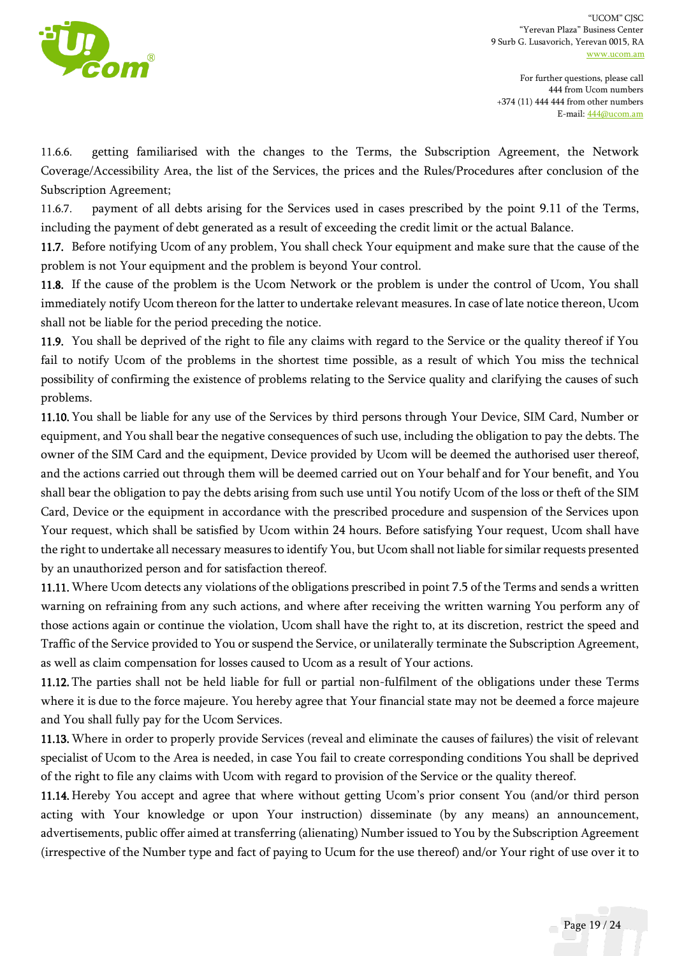

11.6.6. getting familiarised with the changes to the Terms, the Subscription Agreement, the Network Coverage/Accessibility Area, the list of the Services, the prices and the Rules/Procedures after conclusion of the Subscription Agreement;

11.6.7. payment of all debts arising for the Services used in cases prescribed by the point 9.11 of the Terms, including the payment of debt generated as a result of exceeding the credit limit or the actual Balance.

11.7. Before notifying Ucom of any problem, You shall check Your equipment and make sure that the cause of the problem is not Your equipment and the problem is beyond Your control.

11.8. If the cause of the problem is the Ucom Network or the problem is under the control of Ucom, You shall immediately notify Ucom thereon for the latter to undertake relevant measures. In case of late notice thereon, Ucom shall not be liable for the period preceding the notice.

11.9. You shall be deprived of the right to file any claims with regard to the Service or the quality thereof if You fail to notify Ucom of the problems in the shortest time possible, as a result of which You miss the technical possibility of confirming the existence of problems relating to the Service quality and clarifying the causes of such problems.

11.10. You shall be liable for any use of the Services by third persons through Your Device, SIM Card, Number or equipment, and You shall bear the negative consequences of such use, including the obligation to pay the debts. The owner of the SIM Card and the equipment, Device provided by Ucom will be deemed the authorised user thereof, and the actions carried out through them will be deemed carried out on Your behalf and for Your benefit, and You shall bear the obligation to pay the debts arising from such use until You notify Ucom of the loss or theft of the SIM Card, Device or the equipment in accordance with the prescribed procedure and suspension of the Services upon Your request, which shall be satisfied by Ucom within 24 hours. Before satisfying Your request, Ucom shall have the right to undertake all necessary measures to identify You, but Ucom shall not liable for similar requests presented by an unauthorized person and for satisfaction thereof.

11.11.Where Ucom detects any violations of the obligations prescribed in point 7.5 of the Terms and sends a written warning on refraining from any such actions, and where after receiving the written warning You perform any of those actions again or continue the violation, Ucom shall have the right to, at its discretion, restrict the speed and Traffic of the Service provided to You or suspend the Service, or unilaterally terminate the Subscription Agreement, as well as claim compensation for losses caused to Ucom as a result of Your actions.

11.12. The parties shall not be held liable for full or partial non-fulfilment of the obligations under these Terms where it is due to the force majeure. You hereby agree that Your financial state may not be deemed a force majeure and You shall fully pay for the Ucom Services.

11.13.Where in order to properly provide Services (reveal and eliminate the causes of failures) the visit of relevant specialist of Ucom to the Area is needed, in case You fail to create corresponding conditions You shall be deprived of the right to file any claims with Ucom with regard to provision of the Service or the quality thereof.

11.14. Hereby You accept and agree that where without getting Ucom's prior consent You (and/or third person acting with Your knowledge or upon Your instruction) disseminate (by any means) an announcement, advertisements, public offer aimed at transferring (alienating) Number issued to You by the Subscription Agreement (irrespective of the Number type and fact of paying to Ucum for the use thereof) and/or Your right of use over it to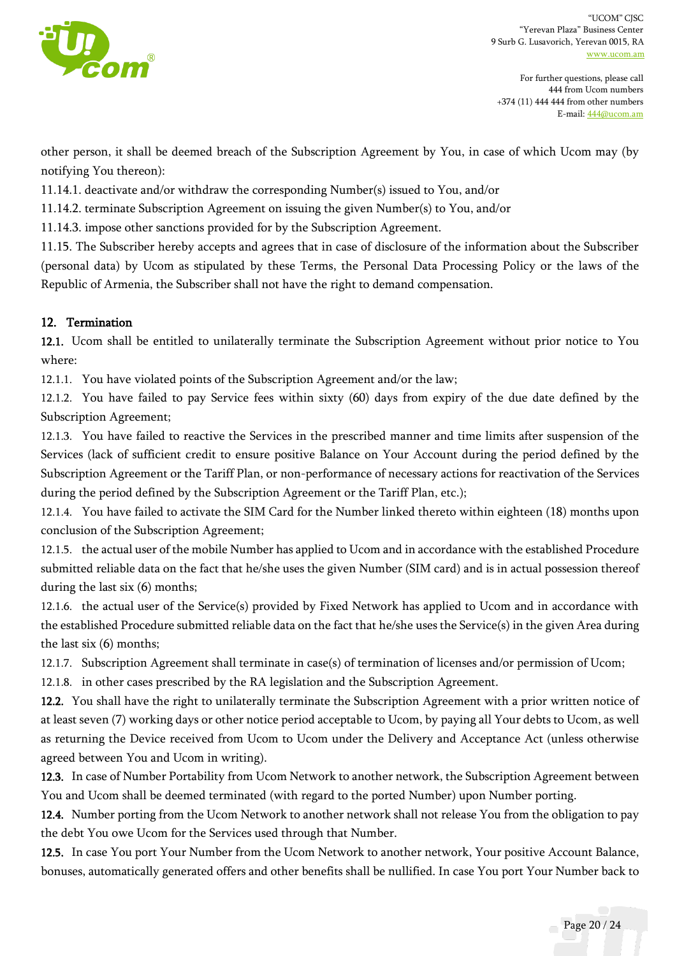

For further questions, please call 444 from Ucom numbers +374 (11) 444 444 from other numbers E-mail[: 444@ucom.am](mailto:444@ucom.am)

other person, it shall be deemed breach of the Subscription Agreement by You, in case of which Ucom may (by notifying You thereon):

11.14.1. deactivate and/or withdraw the corresponding Number(s) issued to You, and/or

11.14.2. terminate Subscription Agreement on issuing the given Number(s) to You, and/or

11.14.3. impose other sanctions provided for by the Subscription Agreement.

11.15. The Subscriber hereby accepts and agrees that in case of disclosure of the information about the Subscriber (personal data) by Ucom as stipulated by these Terms, the Personal Data Processing Policy or the laws of the Republic of Armenia, the Subscriber shall not have the right to demand compensation.

### 12. Termination

12.1. Ucom shall be entitled to unilaterally terminate the Subscription Agreement without prior notice to You where:

12.1.1. You have violated points of the Subscription Agreement and/or the law;

12.1.2. You have failed to pay Service fees within sixty (60) days from expiry of the due date defined by the Subscription Agreement;

12.1.3. You have failed to reactive the Services in the prescribed manner and time limits after suspension of the Services (lack of sufficient credit to ensure positive Balance on Your Account during the period defined by the Subscription Agreement or the Tariff Plan, or non-performance of necessary actions for reactivation of the Services during the period defined by the Subscription Agreement or the Tariff Plan, etc.);

12.1.4. You have failed to activate the SIM Card for the Number linked thereto within eighteen (18) months upon conclusion of the Subscription Agreement;

12.1.5. the actual user of the mobile Number has applied to Ucom and in accordance with the established Procedure submitted reliable data on the fact that he/she uses the given Number (SIM card) and is in actual possession thereof during the last six (6) months;

12.1.6. the actual user of the Service(s) provided by Fixed Network has applied to Ucom and in accordance with the established Procedure submitted reliable data on the fact that he/she uses the Service(s) in the given Area during the last six (6) months;

12.1.7. Subscription Agreement shall terminate in case(s) of termination of licenses and/or permission of Ucom;

12.1.8. in other cases prescribed by the RA legislation and the Subscription Agreement.

12.2. You shall have the right to unilaterally terminate the Subscription Agreement with a prior written notice of at least seven (7) working days or other notice period acceptable to Ucom, by paying all Your debts to Ucom, as well as returning the Device received from Ucom to Ucom under the Delivery and Acceptance Act (unless otherwise agreed between You and Ucom in writing).

12.3. In case of Number Portability from Ucom Network to another network, the Subscription Agreement between You and Ucom shall be deemed terminated (with regard to the ported Number) upon Number porting.

12.4. Number porting from the Ucom Network to another network shall not release You from the obligation to pay the debt You owe Ucom for the Services used through that Number.

12.5. In case You port Your Number from the Ucom Network to another network, Your positive Account Balance, bonuses, automatically generated offers and other benefits shall be nullified. In case You port Your Number back to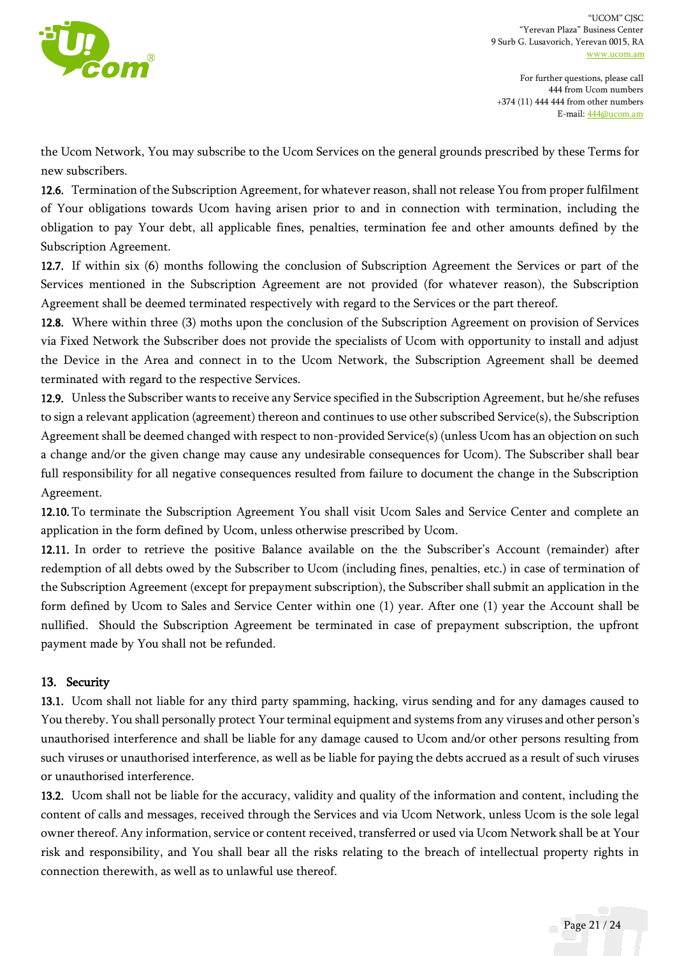

the Ucom Network, You may subscribe to the Ucom Services on the general grounds prescribed by these Terms for new subscribers.

12.6. Termination of the Subscription Agreement, for whatever reason, shall not release You from proper fulfilment of Your obligations towards Ucom having arisen prior to and in connection with termination, including the obligation to pay Your debt, all applicable fines, penalties, termination fee and other amounts defined by the Subscription Agreement.

12.7. If within six (6) months following the conclusion of Subscription Agreement the Services or part of the Services mentioned in the Subscription Agreement are not provided (for whatever reason), the Subscription Agreement shall be deemed terminated respectively with regard to the Services or the part thereof.

12.8. Where within three (3) moths upon the conclusion of the Subscription Agreement on provision of Services via Fixed Network the Subscriber does not provide the specialists of Ucom with opportunity to install and adjust the Device in the Area and connect in to the Ucom Network, the Subscription Agreement shall be deemed terminated with regard to the respective Services.

12.9. Unless the Subscriber wants to receive any Service specified in the Subscription Agreement, but he/she refuses to sign a relevant application (agreement) thereon and continues to use other subscribed Service(s), the Subscription Agreement shall be deemed changed with respect to non-provided Service(s) (unless Ucom has an objection on such a change and/or the given change may cause any undesirable consequences for Ucom). The Subscriber shall bear full responsibility for all negative consequences resulted from failure to document the change in the Subscription Agreement.

12.10. To terminate the Subscription Agreement You shall visit Ucom Sales and Service Center and complete an application in the form defined by Ucom, unless otherwise prescribed by Ucom.

12.11. In order to retrieve the positive Balance available on the the Subscriber's Account (remainder) after redemption of all debts owed by the Subscriber to Ucom (including fines, penalties, etc.) in case of termination of the Subscription Agreement (except for prepayment subscription), the Subscriber shall submit an application in the form defined by Ucom to Sales and Service Center within one (1) year. After one (1) year the Account shall be nullified. Should the Subscription Agreement be terminated in case of prepayment subscription, the upfront payment made by You shall not be refunded.

## 13. Security

13.1. Ucom shall not liable for any third party spamming, hacking, virus sending and for any damages caused to You thereby. You shall personally protect Your terminal equipment and systems from any viruses and other person's unauthorised interference and shall be liable for any damage caused to Ucom and/or other persons resulting from such viruses or unauthorised interference, as well as be liable for paying the debts accrued as a result of such viruses or unauthorised interference.

13.2. Ucom shall not be liable for the accuracy, validity and quality of the information and content, including the content of calls and messages, received through the Services and via Ucom Network, unless Ucom is the sole legal owner thereof. Any information, service or content received, transferred or used via Ucom Network shall be at Your risk and responsibility, and You shall bear all the risks relating to the breach of intellectual property rights in connection therewith, as well as to unlawful use thereof.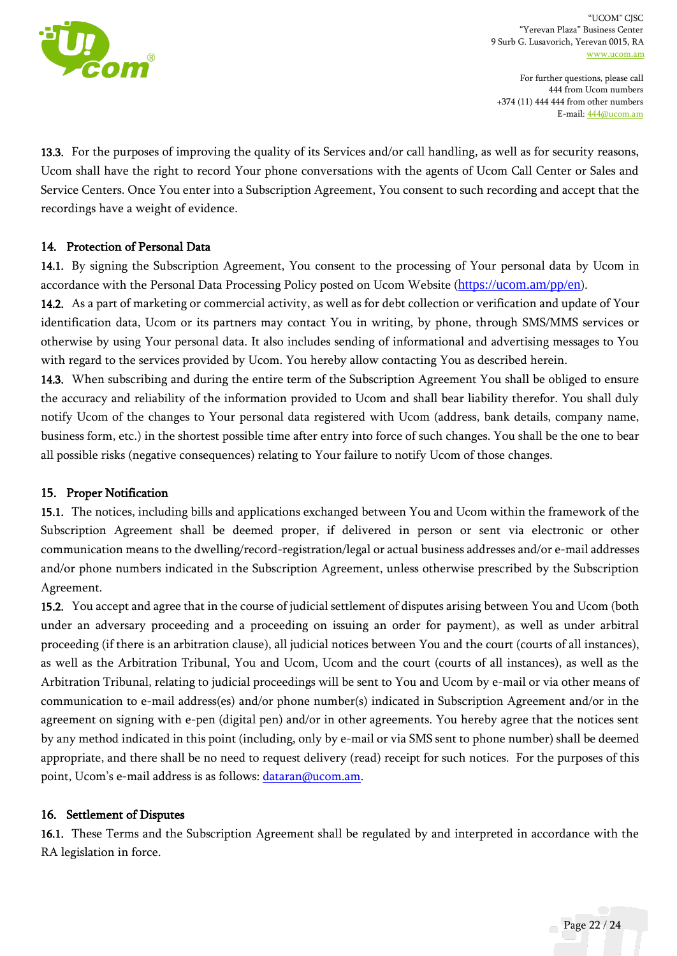

For further questions, please call 444 from Ucom numbers +374 (11) 444 444 from other numbers E-mail[: 444@ucom.am](mailto:444@ucom.am)

13.3. For the purposes of improving the quality of its Services and/or call handling, as well as for security reasons, Ucom shall have the right to record Your phone conversations with the agents of Ucom Call Center or Sales and Service Centers. Once You enter into a Subscription Agreement, You consent to such recording and accept that the recordings have a weight of evidence.

### 14. Protection of Personal Data

14.1. By signing the Subscription Agreement, You consent to the processing of Your personal data by Ucom in accordance with the Personal Data Processing Policy posted on Ucom Website (<https://ucom.am/pp/en>).

14.2. As a part of marketing or commercial activity, as well as for debt collection or verification and update of Your identification data, Ucom or its partners may contact You in writing, by phone, through SMS/MMS services or otherwise by using Your personal data. It also includes sending of informational and advertising messages to You with regard to the services provided by Ucom. You hereby allow contacting You as described herein.

14.3. When subscribing and during the entire term of the Subscription Agreement You shall be obliged to ensure the accuracy and reliability of the information provided to Ucom and shall bear liability therefor. You shall duly notify Ucom of the changes to Your personal data registered with Ucom (address, bank details, company name, business form, etc.) in the shortest possible time after entry into force of such changes. You shall be the one to bear all possible risks (negative consequences) relating to Your failure to notify Ucom of those changes.

#### 15. Proper Notification

15.1. The notices, including bills and applications exchanged between You and Ucom within the framework of the Subscription Agreement shall be deemed proper, if delivered in person or sent via electronic or other communication means to the dwelling/record-registration/legal or actual business addresses and/or e-mail addresses and/or phone numbers indicated in the Subscription Agreement, unless otherwise prescribed by the Subscription Agreement.

15.2. You accept and agree that in the course of judicial settlement of disputes arising between You and Ucom (both under an adversary proceeding and a proceeding on issuing an order for payment), as well as under arbitral proceeding (if there is an arbitration clause), all judicial notices between You and the court (courts of all instances), as well as the Arbitration Tribunal, You and Ucom, Ucom and the court (courts of all instances), as well as the Arbitration Tribunal, relating to judicial proceedings will be sent to You and Ucom by e-mail or via other means of communication to e-mail address(es) and/or phone number(s) indicated in Subscription Agreement and/or in the agreement on signing with e-pen (digital pen) and/or in other agreements. You hereby agree that the notices sent by any method indicated in this point (including, only by e-mail or via SMS sent to phone number) shall be deemed appropriate, and there shall be no need to request delivery (read) receipt for such notices. For the purposes of this point, Ucom's e-mail address is as follows: [dataran@ucom.am.](mailto:dataran@ucom.am)

#### 16. Settlement of Disputes

16.1. These Terms and the Subscription Agreement shall be regulated by and interpreted in accordance with the RA legislation in force.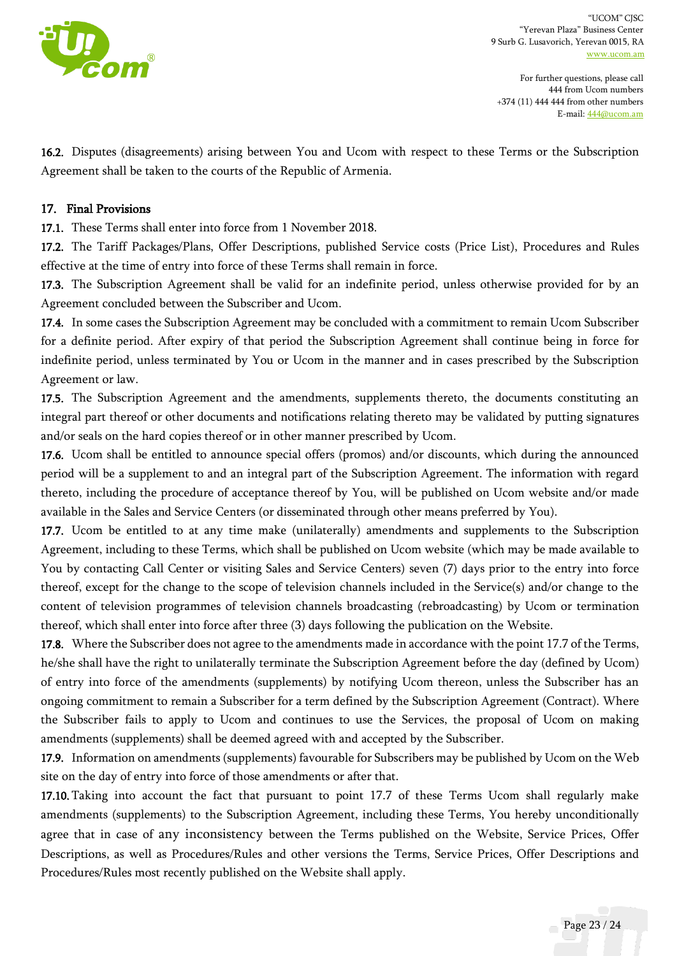

16.2. Disputes (disagreements) arising between You and Ucom with respect to these Terms or the Subscription Agreement shall be taken to the courts of the Republic of Armenia.

#### 17. Final Provisions

17.1. These Terms shall enter into force from 1 November 2018.

17.2. The Tariff Packages/Plans, Offer Descriptions, published Service costs (Price List), Procedures and Rules effective at the time of entry into force of these Terms shall remain in force.

17.3. The Subscription Agreement shall be valid for an indefinite period, unless otherwise provided for by an Agreement concluded between the Subscriber and Ucom.

17.4. In some cases the Subscription Agreement may be concluded with a commitment to remain Ucom Subscriber for a definite period. After expiry of that period the Subscription Agreement shall continue being in force for indefinite period, unless terminated by You or Ucom in the manner and in cases prescribed by the Subscription Agreement or law.

17.5. The Subscription Agreement and the amendments, supplements thereto, the documents constituting an integral part thereof or other documents and notifications relating thereto may be validated by putting signatures and/or seals on the hard copies thereof or in other manner prescribed by Ucom.

17.6. Ucom shall be entitled to announce special offers (promos) and/or discounts, which during the announced period will be a supplement to and an integral part of the Subscription Agreement. The information with regard thereto, including the procedure of acceptance thereof by You, will be published on Ucom website and/or made available in the Sales and Service Centers (or disseminated through other means preferred by You).

17.7. Ucom be entitled to at any time make (unilaterally) amendments and supplements to the Subscription Agreement, including to these Terms, which shall be published on Ucom website (which may be made available to You by contacting Call Center or visiting Sales and Service Centers) seven (7) days prior to the entry into force thereof, except for the change to the scope of television channels included in the Service(s) and/or change to the content of television programmes of television channels broadcasting (rebroadcasting) by Ucom or termination thereof, which shall enter into force after three (3) days following the publication on the Website.

17.8. Where the Subscriber does not agree to the amendments made in accordance with the point 17.7 of the Terms, he/she shall have the right to unilaterally terminate the Subscription Agreement before the day (defined by Ucom) of entry into force of the amendments (supplements) by notifying Ucom thereon, unless the Subscriber has an ongoing commitment to remain a Subscriber for a term defined by the Subscription Agreement (Contract). Where the Subscriber fails to apply to Ucom and continues to use the Services, the proposal of Ucom on making amendments (supplements) shall be deemed agreed with and accepted by the Subscriber.

17.9. Information on amendments (supplements) favourable for Subscribers may be published by Ucom on the Web site on the day of entry into force of those amendments or after that.

17.10. Taking into account the fact that pursuant to point 17.7 of these Terms Ucom shall regularly make amendments (supplements) to the Subscription Agreement, including these Terms, You hereby unconditionally agree that in case of any inconsistency between the Terms published on the Website, Service Prices, Offer Descriptions, as well as Procedures/Rules and other versions the Terms, Service Prices, Offer Descriptions and Procedures/Rules most recently published on the Website shall apply.